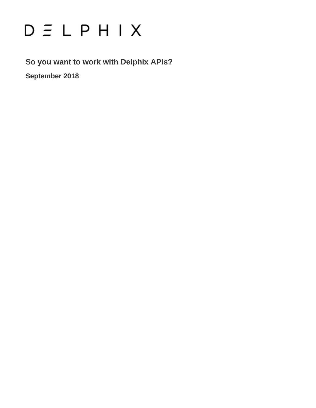# $D \subseteq L$   $P$   $H$   $I$   $X$

**So you want to work with Delphix APIs?**

**September 2018**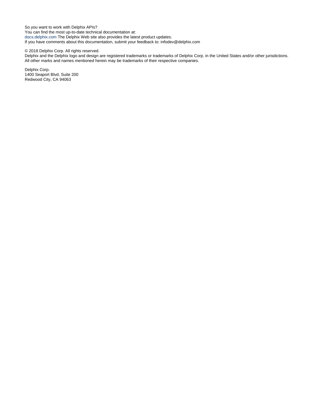So you want to work with Delphix APIs? You can find the most up-to-date technical documentation at: [docs.delphix.com](http://docs.delphix.com) The Delphix Web site also provides the latest product updates. If you have comments about this documentation, submit your feedback to: infodev@delphix.com

#### © 2018 Delphix Corp. All rights reserved.

Delphix and the Delphix logo and design are registered trademarks or trademarks of Delphix Corp. in the United States and/or other jurisdictions. All other marks and names mentioned herein may be trademarks of their respective companies.

Delphix Corp. 1400 Seaport Blvd, Suite 200 Redwood City, CA 94063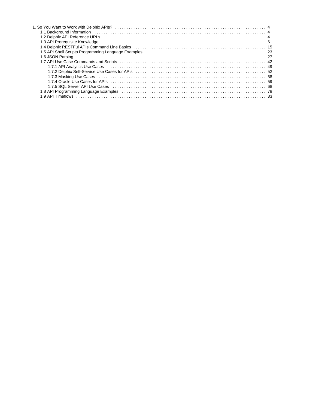| 1.3 API Prerequisite Knowledge entertainment contains the control of the control of the control of the control o                                                            |  |
|-----------------------------------------------------------------------------------------------------------------------------------------------------------------------------|--|
|                                                                                                                                                                             |  |
|                                                                                                                                                                             |  |
|                                                                                                                                                                             |  |
|                                                                                                                                                                             |  |
|                                                                                                                                                                             |  |
| 1.7.2 Delphix Self-Service Use Cases for APIs (all contracts) the contracts of the contracts of the Self-Service Use Cases for APIs (all contracts) the contracts of the S2 |  |
|                                                                                                                                                                             |  |
|                                                                                                                                                                             |  |
| 1.7.5 SQL Server API Use Cases (all contract in the contract in the case of the case of the cases of the cases                                                              |  |
| 1.8 API Programming Language Examples (all contained according to the contract of the contract of the contract o                                                            |  |
|                                                                                                                                                                             |  |
|                                                                                                                                                                             |  |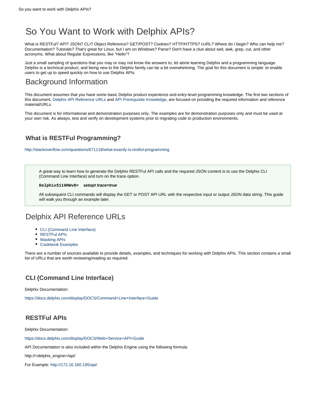## <span id="page-3-0"></span>So You Want to Work with Delphix APIs?

What is RESTFul? API? JSON? CLI? Object Reference? GET/POST? Cookies? HTTP/HTTPS? cURL? Where do I begin? Who can help me? Documentation? Tutorials? That's great for Linux, but I am on Windows? Parse? Don't have a clue about sed, awk, grep, cut, and other acronyms. What about Regular Expressions, like "Hello"?

Just a small sampling of questions that you may or may not know the answers to, let alone learning Delphix and a programming language. Delphix is a technical product, and being new to the Delphix family can be a bit overwhelming. The goal for this document is simple: to enable users to get up to speed quickly on how to use Delphix APIs.

## <span id="page-3-1"></span>Background Information

This document assumes that you have some basic Delphix product experience and entry-level programming knowledge. The first two sections of this document, [Delphix API Reference URLs](#page-3-2) and [API Prerequisite Knowledge,](#page-5-0) are focused on providing the required information and reference material/URLs.

This document is for informational and demonstration purposes only. The examples are for demonstration purposes only and must be used at your own risk. As always, test and verify on development systems prior to migrating code to production environments.

## **What is RESTFul Programming?**

<http://stackoverflow.com/questions/671118/what-exactly-is-restful-programming>

A great way to learn how to generate the Delphix RESTFul API calls and the required JSON content is to use the Delphix CLI (Command Line Interface) and turn on the trace option.

#### **Delphix5110HWv8> setopt trace=true**

All subsequent CLI commands will display the GET or POST API URL with the respective input or output JSON data string. This guide will walk you through an example later.

## <span id="page-3-2"></span>Delphix API Reference URLs

- [CLI \(Command Line Interface\)](#page-3-3)
- [RESTFul APIs](#page-3-4)
- [Masking APIs](#page-5-1)
- [Cookbook Examples](#page-5-2)

There are a number of sources available to provide details, examples, and techniques for working with Delphix APIs. This section contains a small list of URLs that are worth reviewing/reading as required.

## <span id="page-3-3"></span>**CLI (Command Line Interface)**

Delphix Documentation:

<https://docs.delphix.com/display/DOCS/Command+Line+Interface+Guide>

### <span id="page-3-4"></span>**RESTFul APIs**

Delphix Documentation:

<https://docs.delphix.com/display/DOCS/Web+Service+API+Guide>

API Documentation is also included within the Delphix Engine using the following formula:

http://<delphix\_engine>/api/

For Example: <http://172.16.160.195/api/>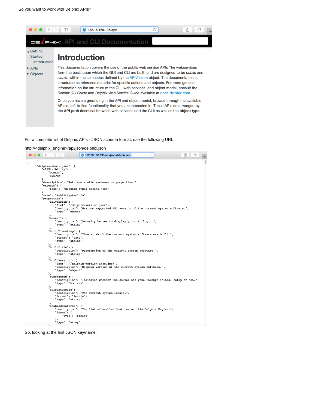

#### For a complete list of Delphix APIs - JSON schema format, use the following URL:

#### http://<delphix\_engine>/api/json/delphix.json

|   | $\Box$<br>$\sim$                      | 172.16.160.195/api/json/delphix.json                                                  | Ò | Å<br>ð |
|---|---------------------------------------|---------------------------------------------------------------------------------------|---|--------|
| € |                                       |                                                                                       |   |        |
|   | "/delphix-about.json": {              |                                                                                       |   |        |
|   | "cliVisibility": [                    |                                                                                       |   |        |
|   | "DOMAIN",                             |                                                                                       |   |        |
|   | "SYSTEM"                              |                                                                                       |   |        |
|   | 1,                                    | "description": "Retrieve static system-wide properties.",                             |   |        |
|   | "extends": {                          |                                                                                       |   |        |
|   |                                       | "\$ref": "/delphix-typed-object.json"                                                 |   |        |
|   | ١,                                    |                                                                                       |   |        |
|   | "name": "PublicSystemInfo",           |                                                                                       |   |        |
|   | "properties": {                       |                                                                                       |   |        |
|   | "apiVersion": {                       |                                                                                       |   |        |
|   |                                       | "\$ref": "/delphix-version.json",                                                     |   |        |
|   | "type": "object"                      | "description": "Maximum supported API version of the current system software.",       |   |        |
|   | λ,                                    |                                                                                       |   |        |
|   | "banner": $\{$                        |                                                                                       |   |        |
|   |                                       | "description": "Security banner to display prior to login.",                          |   |        |
|   | "type": "string"                      |                                                                                       |   |        |
|   | },                                    |                                                                                       |   |        |
|   | "buildTimestamp": {                   |                                                                                       |   |        |
|   |                                       | "description": "Time at which the current system software was built.",                |   |        |
|   | "format": "date",<br>"type": "string" |                                                                                       |   |        |
|   | λ,                                    |                                                                                       |   |        |
|   | "buildTitle": {                       |                                                                                       |   |        |
|   |                                       | "description": "Description of the current system software.",                         |   |        |
|   | "type": "string"                      |                                                                                       |   |        |
|   | λ,                                    |                                                                                       |   |        |
|   | "buildVersion": {                     |                                                                                       |   |        |
|   |                                       | "\$ref": "/delphix-version-info.json",                                                |   |        |
|   | "type": "object"                      | "description": "Delphix version of the current system software.",                     |   |        |
|   | },                                    |                                                                                       |   |        |
|   | "configured": {                       |                                                                                       |   |        |
|   |                                       | "description": "Indicates whether the server has gone through initial setup or not.", |   |        |
|   | "type": "boolean"                     |                                                                                       |   |        |
|   | λ,                                    |                                                                                       |   |        |
|   | "currentLocale": {                    |                                                                                       |   |        |
|   | "format": "locale",                   | "description": "The current system locale.",                                          |   |        |
|   | "type": "string"                      |                                                                                       |   |        |
|   | },                                    |                                                                                       |   |        |
|   | "enabledFeatures": {                  |                                                                                       |   |        |
|   |                                       | "description": "The list of enabled features on this Delphix Engine.",                |   |        |
|   | "items": $\{$                         |                                                                                       |   |        |
|   | "type": "string"                      |                                                                                       |   |        |
|   | λ,<br>"type": "array"                 |                                                                                       |   |        |
|   | ι.                                    |                                                                                       |   |        |

So, looking at the first JSON key/name: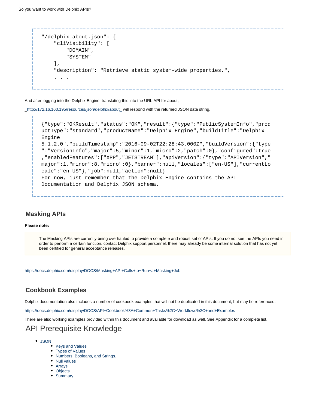```
"/delphix-about.json": {
     "cliVisibility": [
         "DOMAIN", 
         "SYSTEM"
     ], 
     "description": "Retrieve static system-wide properties.", 
 . . .
```
And after logging into the Delphix Engine, translating this into the URL API for about;

[\\_http://172.16.160.195/resources/json/delphix/about\\_](http://172.16.160.195/resources/json/delphix/about_) will respond with the returned JSON data string.

```
{"type":"OKResult","status":"OK","result":{"type":"PublicSystemInfo","prod
uctType":"standard","productName":"Delphix Engine","buildTitle":"Delphix
Engine
5.1.2.0","buildTimestamp":"2016-09-02T22:28:43.000Z","buildVersion":{"type
":"VersionInfo","major":5,"minor":1,"micro":2,"patch":0},"configured":true
,"enabledFeatures":["XPP","JETSTREAM"],"apiVersion":{"type":"APIVersion","
major":1,"minor":8,"micro":0},"banner":null,"locales":["en-US"],"currentLo
cale":"en-US"},"job":null,"action":null} 
For now, just remember that the Delphix Engine contains the API
Documentation and Delphix JSON schema.
```
#### <span id="page-5-1"></span>**Masking APIs**

#### **Please note:**

The Masking APIs are currently being overhauled to provide a complete and robust set of APIs. If you do not see the APIs you need in order to perform a certain function, contact Delphix support personnel; there may already be some internal solution that has not yet been certified for general acceptance releases.

<https://docs.delphix.com/display/DOCS/Masking+API+Calls+to+Run+a+Masking+Job>

#### <span id="page-5-2"></span>**Cookbook Examples**

Delphix documentation also includes a number of cookbook examples that will not be duplicated in this document, but may be referenced.

<https://docs.delphix.com/display/DOCS/API+Cookbook%3A+Common+Tasks%2C+Workflows%2C+and+Examples>

<span id="page-5-0"></span>There are also working examples provided within this document and available for download as well. See Appendix for a complete list.

## API Prerequisite Knowledge

- [JSON](#page-6-0)
	- [Keys and Values](#page-6-1)
	- [Types of Values](#page-6-2)
	- [Numbers, Booleans, and Strings.](#page-6-3)
	- [Null values](#page-6-4)
	- [Arrays](#page-7-0)
	- [Objects](#page-7-1)
	- [Summary](#page-7-2)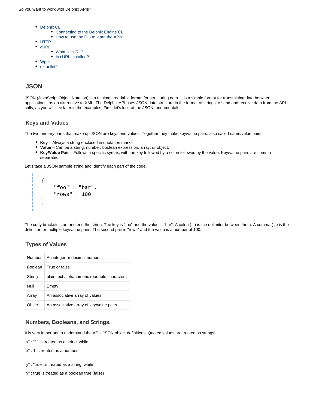- [Delphix CLI](#page-8-0)
	- [Connecting to the Delphix Engine CLI](#page-8-1)
		- [How to use the CLI to learn the APIs](#page-8-2)
- [HTTP](#page-13-0)
- $\bullet$  [cURL](#page-13-1)
	- [What is cURL?](#page-13-2)
	- [Is cURL installed?](#page-14-1)
- [Wget](#page-14-2)
- [dxtoolkit2](#page-14-3)

#### <span id="page-6-0"></span>**JSON**

JSON (JavaScript Object Notation) is a minimal, readable format for structuring data. It is a simple format for transmitting data between applications, as an alternative to XML. The Delphix API uses JSON data structure in the format of strings to send and receive data from the API calls, as you will see later in the examples. First, let's look at the JSON fundamentals.

#### <span id="page-6-1"></span>**Keys and Values**

The two primary parts that make up JSON are keys and values. Together they make key/value pairs, also called name/value pairs.

- **Key** Always a string enclosed in quotation marks.
- **Value** Can be a string, number, boolean expression, array, or object.
- $\bullet$ **Key/Value Pair** – Follows a specific syntax, with the key followed by a colon followed by the value. Key/value pairs are comma separated.

Let's take a JSON sample string and identify each part of the code.

```
{
     "foo" : "bar",
     "rows" : 100
}
```
The curly brackets start and end the string. The key is "foo" and the value is "bar". A colon ( : ) is the delimiter between them. A comma ( , ) is the delimiter for multiple key/value pairs. The second pair is "rows" and the value is a number of 100.

#### <span id="page-6-2"></span>**Types of Values**

| Number         | An integer or decimal number                |
|----------------|---------------------------------------------|
| <b>Boolean</b> | True or false                               |
| String         | plain text alphanumeric readable characters |
| Null           | Empty                                       |
| Array          | An associative array of values              |
| Object         | An associative array of key/value pairs     |

#### <span id="page-6-3"></span>**Numbers, Booleans, and Strings.**

It is very important to understand the APIs JSON object definitions. Quoted values are treated as strings!

- "x" : "1" is treated as a string, while
- "x" : 1 is treated as a number
- "y" : "true" is treated as a string, while
- <span id="page-6-4"></span>"y" : true is treated as a boolean true (false)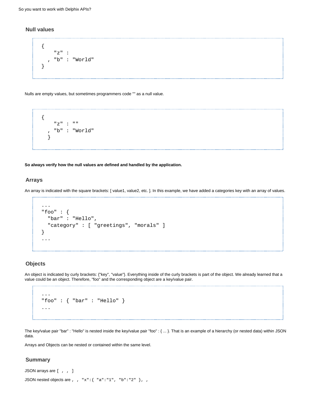#### **Null values**

```
{
     "z" :
     , "b" : "World"
}
```
Nulls are empty values, but sometimes programmers code "" as a null value.



**So always verify how the null values are defined and handled by the application.**

#### <span id="page-7-0"></span>**Arrays**

An array is indicated with the square brackets: [ value1, value2, etc. ]. In this example, we have added a categories key with an array of values.

```
...
"foo" : {
   "bar" : "Hello",
   "category" : [ "greetings", "morals" ]
}
...
```
#### <span id="page-7-1"></span>**Objects**

An object is indicated by curly brackets: {"key", "value"}. Everything inside of the curly brackets is part of the object. We already learned that a value could be an object. Therefore, "foo" and the corresponding object are a key/value pair.

```
...
"foo" : { "bar" : "Hello" }
...
```
The key/value pair "bar" : "Hello" is nested inside the key/value pair "foo" : { ... }. That is an example of a hierarchy (or nested data) within JSON data.

Arrays and Objects can be nested or contained within the same level.

#### <span id="page-7-2"></span>**Summary**

```
JSON arrays are [ , , ]
JSON nested objects are , , "x": { "a": "1", "b": "2" }, ,
```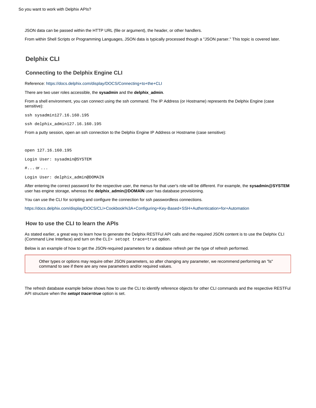JSON data can be passed within the HTTP URL (file or argument), the header, or other handlers.

From within Shell Scripts or Programming Languages, JSON data is typically processed though a "JSON parser." This topic is covered later.

#### <span id="page-8-0"></span>**Delphix CLI**

#### <span id="page-8-1"></span>**Connecting to the Delphix Engine CLI**

Reference:<https://docs.delphix.com/display/DOCS/Connecting+to+the+CLI>

There are two user roles accessible, the **sysadmin** and the **delphix\_admin**.

From a shell environment, you can connect using the ssh command. The IP Address (or Hostname) represents the Delphix Engine (case sensitive):

ssh sysadmin127.16.160.195

ssh delphix\_admin127.16.160.195

From a putty session, open an ssh connection to the Delphix Engine IP Address or Hostname (case sensitive):

open 127.16.160.195

Login User: sysadmin@SYSTEM

 $\# \ldots$  or  $\ldots$ 

Login User: delphix\_admin@DOMAIN

After entering the correct password for the respective user, the menus for that user's role will be different. For example, the **sysadmin@SYSTEM** user has engine storage, whereas the **delphix\_admin@DOMAIN** user has database provisioning.

You can use the CLI for scripting and configure the connection for ssh passwordless connections.

<https://docs.delphix.com/display/DOCS/CLI+Cookbook%3A+Configuring+Key-Based+SSH+Authentication+for+Automation>

#### <span id="page-8-2"></span>**How to use the CLI to learn the APIs**

As stated earlier, a great way to learn how to generate the Delphix RESTFul API calls and the required JSON content is to use the Delphix CLI (Command Line Interface) and turn on the CLI> setopt trace=true option.

Below is an example of how to get the JSON-required parameters for a database refresh per the type of refresh performed.

Other types or options may require other JSON parameters, so after changing any parameter, we recommend performing an "ls" command to see if there are any new parameters and/or required values.

The refresh database example below shows how to use the CLI to identify reference objects for other CLI commands and the respective RESTFul API structure when the **setopt trace=true** option is set.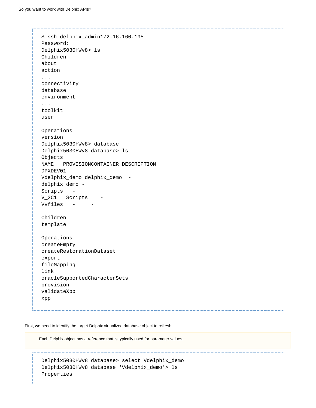```
$ ssh delphix_admin172.16.160.195 
Password: 
Delphix5030HWv8> ls 
Children
about
action
...
connectivity
database
environment
... 
toolkit
user 
Operations
version
Delphix5030HWv8> database 
Delphix5030HWv8 database> ls 
Objects
NAME PROVISIONCONTAINER DESCRIPTION
DPXDEV01 -
Vdelphix_demo delphix_demo -
delphix_demo - 
Scripts - 
V_2C1 Scripts -
Vvfiles - - 
Children
template 
Operations
createEmpty
createRestorationDataset
export
fileMapping
link
oracleSupportedCharacterSets
provision
validateXpp
xpp
```
First, we need to identify the target Delphix virtualized database object to refresh ...

Each Delphix object has a reference that is typically used for parameter values.

Delphix5030HWv8 database> select Vdelphix\_demo Delphix5030HWv8 database 'Vdelphix\_demo'> ls Properties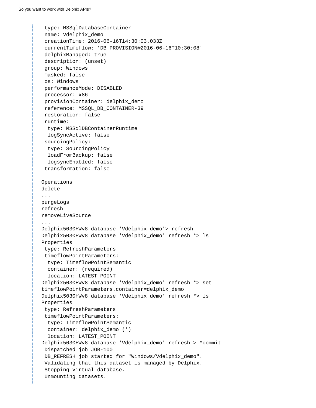```
 type: MSSqlDatabaseContainer
  name: Vdelphix_demo
  creationTime: 2016-06-16T14:30:03.033Z
  currentTimeflow: 'DB_PROVISION@2016-06-16T10:30:08'
  delphixManaged: true
  description: (unset)
  group: Windows
  masked: false
  os: Windows
  performanceMode: DISABLED
  processor: x86
  provisionContainer: delphix_demo
  reference: MSSQL_DB_CONTAINER-39 
  restoration: false
  runtime:
   type: MSSqlDBContainerRuntime
   logSyncActive: false
  sourcingPolicy:
   type: SourcingPolicy
   loadFromBackup: false
   logsyncEnabled: false
  transformation: false 
Operations
delete
...
purgeLogs
refresh
removeLiveSource
...
Delphix5030HWv8 database 'Vdelphix_demo'> refresh 
Delphix5030HWv8 database 'Vdelphix_demo' refresh *> ls 
Properties
  type: RefreshParameters
  timeflowPointParameters:
  type: TimeflowPointSemantic
   container: (required)
   location: LATEST_POINT
Delphix5030HWv8 database 'Vdelphix_demo' refresh *> set
timeflowPointParameters.container=delphix_demo 
Delphix5030HWv8 database 'Vdelphix_demo' refresh *> ls 
Properties
  type: RefreshParameters
  timeflowPointParameters:
   type: TimeflowPointSemantic
   container: delphix_demo (*) 
   location: LATEST_POINT
Delphix5030HWv8 database 'Vdelphix_demo' refresh > *commit 
  Dispatched job JOB-100
  DB_REFRESH job started for "Windows/Vdelphix_demo".
  Validating that this dataset is managed by Delphix.
  Stopping virtual database.
  Unmounting datasets.
```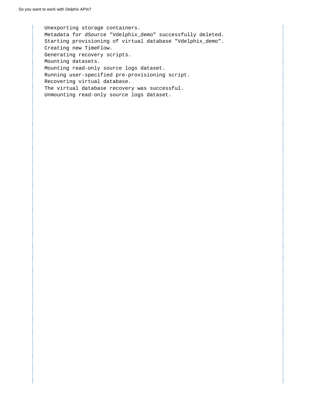Unexporting storage containers. Metadata for dSource "Vdelphix\_demo" successfully deleted. Starting provisioning of virtual database "Vdelphix\_demo". Creating new TimeFlow. Generating recovery scripts. Mounting datasets. Mounting read-only source logs dataset. Running user-specified pre-provisioning script. Recovering virtual database. The virtual database recovery was successful. Unmounting read-only source logs dataset.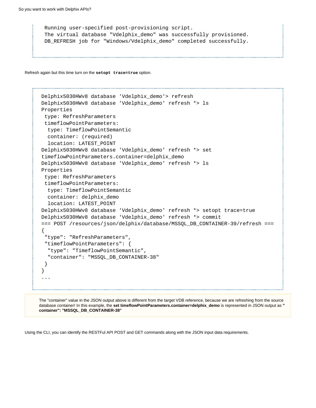```
 Running user-specified post-provisioning script.
 The virtual database "Vdelphix_demo" was successfully provisioned.
 DB_REFRESH job for "Windows/Vdelphix_demo" completed successfully.
```
Refresh again but this time turn on the **setopt trace=true** option.

```
Delphix5030HWv8 database 'Vdelphix_demo'> refresh
Delphix5030HWv8 database 'Vdelphix_demo' refresh *> ls
Properties
  type: RefreshParameters
  timeflowPointParameters:
   type: TimeflowPointSemantic
   container: (required)
   location: LATEST_POINT
Delphix5030HWv8 database 'Vdelphix_demo' refresh *> set
timeflowPointParameters.container=delphix_demo
Delphix5030HWv8 database 'Vdelphix_demo' refresh *> ls
Properties
  type: RefreshParameters
  timeflowPointParameters:
   type: TimeflowPointSemantic
   container: delphix_demo
   location: LATEST_POINT
Delphix5030HWv8 database 'Vdelphix_demo' refresh *> setopt trace=true
Delphix5030HWv8 database 'Vdelphix_demo' refresh *> commit
=== POST /resources/json/delphix/database/MSSQL_DB_CONTAINER-39/refresh ===
{
  "type": "RefreshParameters",
  "timeflowPointParameters": {
  "type": "TimeflowPointSemantic",
   "container": "MSSQL_DB_CONTAINER-38"
  }
}
...
```
The "container" value in the JSON output above is different from the target VDB reference, because we are refreshing from the source database container! In this example, the **set timeflowPointParameters.container=delphix\_demo** is represented in JSON output as **" container": "MSSQL\_DB\_CONTAINER-38"**

Using the CLI, you can identify the RESTFul API POST and GET commands along with the JSON input data requirements.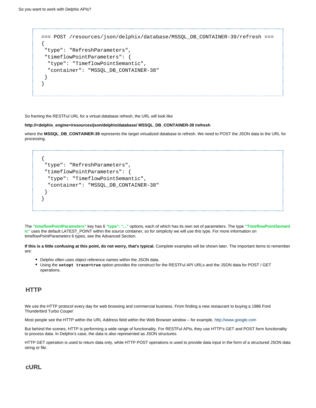```
=== POST /resources/json/delphix/database/MSSQL_DB_CONTAINER-39/refresh ===
{ 
  "type": "RefreshParameters", 
  "timeflowPointParameters": { 
   "type": "TimeflowPointSemantic", 
   "container": "MSSQL_DB_CONTAINER-38" 
  } 
}
```
So framing the RESTFul URL for a virtual database refresh, the URL will look like

#### **http://<delphix\_engine>/resources/json/delphix/database/ MSSQL\_DB\_CONTAINER-39 /refresh**

where the **MSSQL\_DB\_CONTAINER-39** represents the target virtualized database to refresh. We need to POST the JSON data to the URL for processing.

```
{
  "type": "RefreshParameters", 
 "timeflowPointParameters": { 
   "type": "TimeflowPointSemantic", 
   "container": "MSSQL_DB_CONTAINER-38" 
 }
}
```
The **"timeflowPointParameters"** key has 6 **"type": "..."** options, each of which has its own set of parameters. The type **"TimeflowPointSemant ic"** uses the default LATEST\_POINT within the source container, so for simplicity we will use this type. For more information on timeflowPointParameters 6 types, see the Advanced Section.

**If this is a little confusing at this point, do not worry, that's typical.** Complete examples will be shown later. The important items to remember are:

- Delphix often uses object reference names within the JSON data.
- Using the **setopt trace=true** option provides the construct for the RESTFul API URLs and the JSON data for POST / GET operations.

#### <span id="page-13-0"></span>**HTTP**

We use the HTTP protocol every day for web browsing and commercial business. From finding a new restaurant to buying a 1986 Ford Thunderbird Turbo Coupe!

Most people see the HTTP within the URL Address field within the Web Browser window – for example, <http://www.google.com>

But behind the scenes, HTTP is performing a wide range of functionality. For RESTFul APIs, they use HTTP's GET and POST form functionality to process data. In Delphix's case, the data is also represented as JSON structures.

HTTP GET operation is used to return data only, while HTTP POST operations is used to provide data input in the form of a structured JSON data string or file.

<span id="page-13-2"></span><span id="page-13-1"></span>**cURL**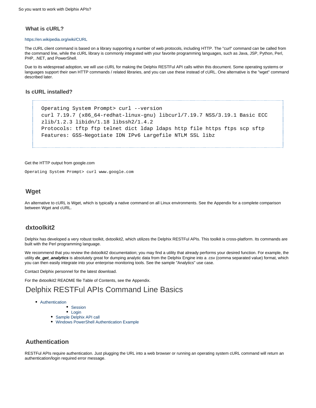#### **What is cURL?**

#### <https://en.wikipedia.org/wiki/CURL>

The cURL client command is based on a library supporting a number of web protocols, including HTTP. The "curl" command can be called from the command line, while the cURL library is commonly integrated with your favorite programming languages, such as Java, JSP, Python, Perl, PHP, .NET, and PowerShell.

Due to its widespread adoption, we will use cURL for making the Delphix RESTFul API calls within this document. Some operating systems or languages support their own HTTP commands / related libraries, and you can use these instead of cURL. One alternative is the "wget" command described later.

#### <span id="page-14-1"></span>**Is cURL installed?**

```
Operating System Prompt> curl --version
curl 7.19.7 (x86_64-redhat-linux-gnu) libcurl/7.19.7 NSS/3.19.1 Basic ECC
zlib/1.2.3 libidn/1.18 libssh2/1.4.2
Protocols: tftp ftp telnet dict ldap ldaps http file https ftps scp sftp 
Features: GSS-Negotiate IDN IPv6 Largefile NTLM SSL libz
```
#### Get the HTTP output from google.com

Operating System Prompt> curl www.google.com

#### <span id="page-14-2"></span>**Wget**

An alternative to cURL is Wget, which is typically a native command on all Linux environments. See the Appendix for a complete comparison between Wget and cURL.

#### <span id="page-14-3"></span>**dxtoolkit2**

Delphix has developed a very robust toolkit, dxtoolkit2, which utilizes the Delphix RESTFul APIs. This toolkit is cross-platform. Its commands are built with the Perl programming language.

We recommend that you review the dxtoolkit2 documentation; you may find a utility that already performs your desired function. For example, the utility **dx\_get\_analytics** is absolutely great for dumping analytic data from the Delphix Engine into a .csv (comma separated value) format, which you can then easily integrate into your enterprise monitoring tools. See the sample "Analytics" use case.

Contact Delphix personnel for the latest download.

For the dxtoolkit2 README file Table of Contents, see the Appendix.

## <span id="page-14-0"></span>Delphix RESTFul APIs Command Line Basics

- [Authentication](#page-14-4)
	- **[Session](#page-15-0)**
	- [Login](#page-16-0)
	- [Sample Delphix API call](#page-17-0)
	- [Windows PowerShell Authentication Example](#page-18-0)

#### <span id="page-14-4"></span>**Authentication**

RESTFul APIs require authentication. Just plugging the URL into a web browser or running an operating system cURL command will return an authentication/login required error message.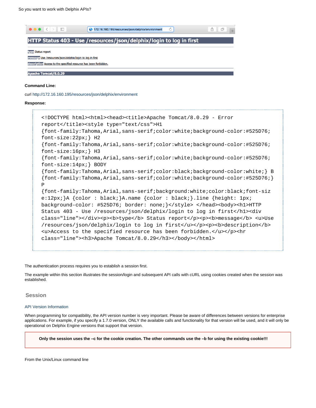

```
<!DOCTYPE html><html><head><title>Apache Tomcat/8.0.29 - Error
report</title><style type="text/css">H1
{font-family:Tahoma,Arial,sans-serif;color:white;background-color:#525D76;
font-size:22px;} H2
{font-family:Tahoma,Arial,sans-serif;color:white;background-color:#525D76;
font-size:16px;} H3
{font-family:Tahoma,Arial,sans-serif;color:white;background-color:#525D76;
font-size:14px;} BODY
{font-family:Tahoma,Arial,sans-serif;color:black;background-color:white;} B
{font-family:Tahoma,Arial,sans-serif;color:white;background-color:#525D76;}
P
{font-family:Tahoma,Arial,sans-serif;background:white;color:black;font-siz
e:12px;}A {color : black;}A.name {color : black;}.line {height: 1px;
background-color: #525D76; border: none; \langle \ranglestyle> </head><br/>body><hl>HTTP
Status 403 - Use /resources/json/delphix/login to log in first</h1><div
class="line"></div><p><b>type</b>Status report</p><p>>>>>b>message</b><u>Use
/resources/json/delphix/login to log in first</u></p>><p><br/>b>description</b>
ku>Access to the specified resource has been forbidden.</u>></p><hr
class="line"><h3>Apache Tomcat/8.0.29</h3></body></html>
```
The authentication process requires you to establish a session first.

The example within this section illustrates the session/login and subsequent API calls with cURL using cookies created when the session was established.

<span id="page-15-0"></span>**Session**

#### [API Version Information](https://docs.delphix.com/display/DOCS53/API+Version+Information)

When programming for compatibility, the API version number is very important. Please be aware of differences between versions for enterprise applications. For example, if you specify a 1.7.0 version, ONLY the available calls and functionality for that version will be used, and it will only be operational on Delphix Engine versions that support that version.

**Only the session uses the –c for the cookie creation. The other commands use the –b for using the existing cookie!!!**

From the Unix/Linux command line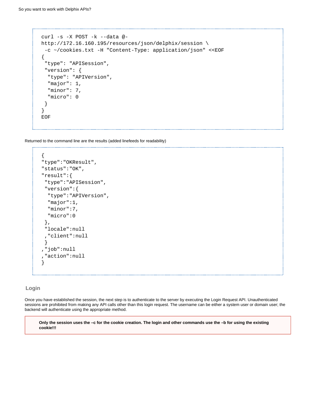```
curl -s -X POST -k --data @-
http://172.16.160.195/resources/json/delphix/session \
 -c ~/cookies.txt -H "Content-Type: application/json" <<EOF
{
  "type": "APISession",
  "version": {
   "type": "APIVersion",
   "major": 1,
   "minor": 7,
   "micro": 0
  }
}
EOF
```
Returned to the command line are the results (added linefeeds for readability)

```
{
"type":"OKResult",
"status":"OK",
"result":{
 "type":"APISession",
 "version":{
  "type":"APIVersion",
  "major":1,
  "minor":7,
  "micro":0
 },
 "locale":null
  ,"client":null
 }
,"job":null
,"action":null
}
```
#### <span id="page-16-0"></span>**Login**

Once you have established the session, the next step is to authenticate to the server by executing the Login Request API. Unauthenticated sessions are prohibited from making any API calls other than this login request. The username can be either a system user or domain user; the backend will authenticate using the appropriate method.

**Only the session uses the –c for the cookie creation. The login and other commands use the –b for using the existing cookie!!!**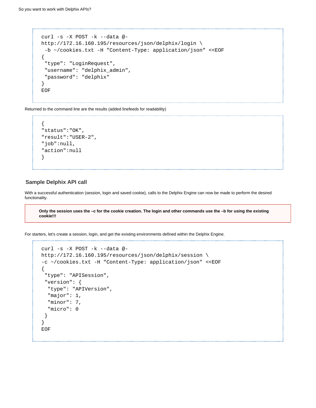```
curl -s -X POST -k --data @-
http://172.16.160.195/resources/json/delphix/login \
 -b ~/cookies.txt -H "Content-Type: application/json" <<EOF
{
  "type": "LoginRequest",
  "username": "delphix_admin",
  "password": "delphix"
}
EOF
```
Returned to the command line are the results (added linefeeds for readability)

```
{
"status":"OK",
"result":"USER-2",
"job":null,
"action":null
}
```
#### <span id="page-17-0"></span>**Sample Delphix API call**

With a successful authentication (session, login and saved cookie), calls to the Delphix Engine can now be made to perform the desired functionality.

**Only the session uses the –c for the cookie creation. The login and other commands use the –b for using the existing cookie!!!**

For starters, let's create a session, login, and get the existing environments defined within the Delphix Engine.

```
curl -s -X POST -k --data @-
http://172.16.160.195/resources/json/delphix/session \
-c ~/cookies.txt -H "Content-Type: application/json" <<EOF
{
  "type": "APISession",
  "version": {
   "type": "APIVersion",
   "major": 1,
   "minor": 7,
   "micro": 0
  }
}
EOF
```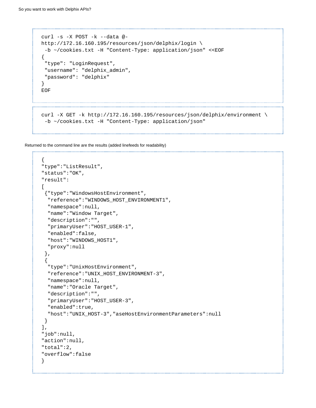```
curl -s -X POST -k --data @-
http://172.16.160.195/resources/json/delphix/login \
  -b ~/cookies.txt -H "Content-Type: application/json" <<EOF
{
  "type": "LoginRequest",
  "username": "delphix_admin",
  "password": "delphix"
}
EOF 
curl -X GET -k http://172.16.160.195/resources/json/delphix/environment \
  -b ~/cookies.txt -H "Content-Type: application/json"
```
Returned to the command line are the results (added linefeeds for readability)

```
{
"type":"ListResult",
"status":"OK",
"result":
\Gamma {"type":"WindowsHostEnvironment",
   "reference":"WINDOWS_HOST_ENVIRONMENT1",
   "namespace":null,
   "name":"Window Target",
   "description":"",
  "primaryUser":"HOST_USER-1",
   "enabled":false,
   "host":"WINDOWS_HOST1",
   "proxy":null
  },
 {
   "type":"UnixHostEnvironment",
   "reference":"UNIX_HOST_ENVIRONMENT-3",
   "namespace":null,
   "name":"Oracle Target",
   "description":"",
   "primaryUser":"HOST_USER-3",
   "enabled":true,
   "host":"UNIX_HOST-3","aseHostEnvironmentParameters":null
 }
],
"job":null,
"action":null,
"total":2,
"overflow":false
}
```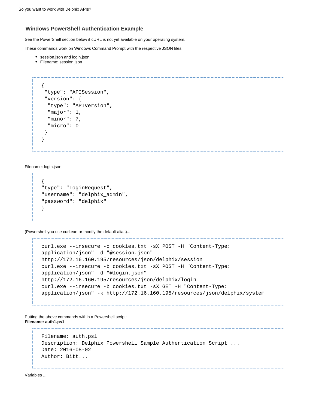#### **Windows PowerShell Authentication Example**

See the PowerShell section below if cURL is not yet available on your operating system.

These commands work on Windows Command Prompt with the respective JSON files:

- **•** session.json and login.json
- Filename: session.json

```
{
  "type": "APISession",
  "version": {
   "type": "APIVersion",
   "major": 1,
   "minor": 7,
   "micro": 0
  }
}
```
Filename: login.json

```
{
"type": "LoginRequest",
"username": "delphix_admin",
"password": "delphix"
}
```
(Powershell you use curl.exe or modify the default alias)...

```
curl.exe --insecure -c cookies.txt -sX POST -H "Content-Type:
application/json" -d "@session.json"
http://172.16.160.195/resources/json/delphix/session
curl.exe --insecure -b cookies.txt -sX POST -H "Content-Type:
application/json" -d "@login.json"
http://172.16.160.195/resources/json/delphix/login
curl.exe --insecure -b cookies.txt -sX GET -H "Content-Type:
application/json" -k http://172.16.160.195/resources/json/delphix/system
```
Putting the above commands within a Powershell script: **Filename: auth1.ps1**

```
Filename: auth.ps1
Description: Delphix Powershell Sample Authentication Script ...
Date: 2016-08-02
Author: Bitt...
```
Variables ...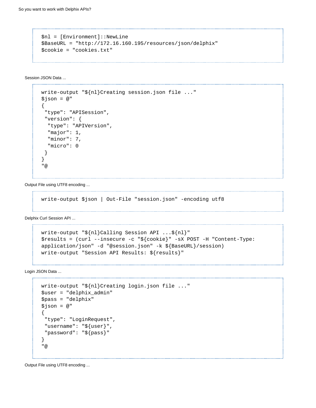```
$nl = [Environment]::NewLine
$BaseURL = "http://172.16.160.195/resources/json/delphix"
$cookie = "cookies.txt"
```
Session JSON Data ...

```
write-output "${nl}Creating session.json file ..."
$json = <math>@</math>"{
  "type": "APISession",
  "version": {
   "type": "APIVersion",
   "major": 1,
   "minor": 7,
   "micro": 0
  }
}
"@
```
Output File using UTF8 encoding ... --------------------------------------

```
write-output $json | Out-File "session.json" -encoding utf8
```
Delphix Curl Session API ...

```
write-output "${nl}Calling Session API ...${nl}"
$results = (curl --insecure -c "${cookie}" -sX POST -H "Content-Type:
application/json" -d "@session.json" -k ${BaseURL}/session)
write-output "Session API Results: ${results}"
```
Login JSON Data ...

```
write-output "${nl}Creating login.json file ..."
$user = "delphix_admin"
$pass = "delphix"
$json = @"
{
  "type": "LoginRequest",
 "username": "${user}",
  "password": "${pass}"
}
"@
```
Output File using UTF8 encoding ...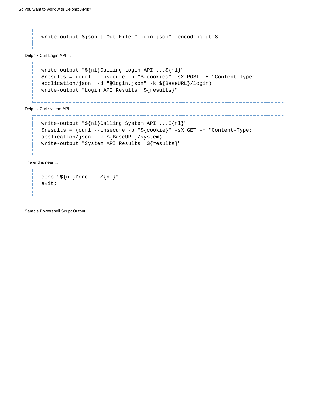write-output \$json | Out-File "login.json" -encoding utf8

Delphix Curl Login API ...

```
write-output "${nl}Calling Login API ...${nl}"
$results = (curl --insecure -b "${cookie}" -sX POST -H "Content-Type:
application/json" -d "@login.json" -k ${BaseURL}/login)
write-output "Login API Results: ${results}"
```
Delphix Curl system API ...

```
write-output "${nl}Calling System API ...${nl}"
$results = (curl --insecure -b "${cookie}" -sX GET -H "Content-Type:
application/json" -k ${BaseURL}/system)
write-output "System API Results: ${results}"
```
The end is near ...

```
echo "${nl}Done ...${nl}"
exit;
```
Sample Powershell Script Output: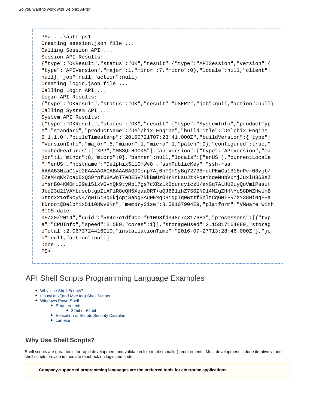```
PS> . . \auth.ps1
Creating session.json file ...
Calling Session API ...
Session API Results:
{"type":"OKResult","status":"OK","result":{"type":"APISession","version":{
"type":"APIVersion","major":1,"minor":7,"micro":0},"locale":null,"client":
null},"job":null,"action":null}
Creating login.json file ...
Calling Login API ...
Login API Results:
{"type":"OKResult","status":"OK","result":"USER2","job":null,"action":null}
Calling System API ... 
System API Results:
{"type":"OKResult","status":"OK","result":{"type":"SystemInfo","productTyp
e":"standard","productName":"Delphix Engine","buildTitle":"Delphix Engine
5.1.1.0","buildTimestamp":"20160721T07:23:41.000Z","buildVersion":{"type":
"VersionInfo","major":5,"minor":1,"micro":1,"patch":0},"configured":true,"
enabedFeatures":["XPP","MSSQLHOOKS"],"apiVersion":{"type":"APIVersion","ma
jor":1,"minor":8,"micro":0},"banner":null,"locals":["enUS"],"currentLocale
":"enUS","hostname":"Delphix5110HWv8","sshPublicKey":"ssh-rsa
AAAAB3NzaC1yc2EAAAADAQABAAABAQDOsrp7Aj6hFQh9yBq7273B+qtPKmCu1B18nPvr08yjt/
IZeM4qKk7caxExQS9rpfU8AWoT7e8ESV7NkBmUzOHrHnLsuJtxPqeYoqeMubVxYjJuxlH368sZ
uYsnB04KM0mi39e15lxVGvxQk9tyMpl7gs7cXRz1k6puncyiczU/axGq7ALHU2uyQoVmlPasuH
Jbq23d21VAYLuscbtgpZLAFlR8eQH5Xqaa0RT+aQJ6B1ihZ7S0ZN914M2gZHHNYcSGDWZHwUnB
Gttnxx1ofRcyN4/qwT5iHq5kjApjSaNgSAU0ExqDHiqgTq0wttf5nltCqGMTFR7XY38HiNq++a
tDroot@Delphix5110HWv8\n","memorySize":8.58107904E9,"platform":"VMware with
BIOS date
05/20/2014","uuid":"564d7e1df4cb-f91098fd348d74817683","processors":[{"typ
e":"CPUInfo","speed":2.5E9,"cores":1}],"storageUsed":2.158171648E9,"storag
eTotal":2.0673724416E10,"installationTime":"2016-07-27T13:28:46.000Z"},"jo
b":null,"action":null} 
Done ... 
PS>
```
## <span id="page-22-0"></span>API Shell Scripts Programming Language Examples

- [Why Use Shell Scripts?](#page-22-1)
- [Linux/Unix/\(and Mac too\) Shell Scripts](#page-23-0)
- [Windows PowerShell](#page-23-1)
	- [Requirements](#page-23-2)
		- [32bit or 64 bit](#page-23-3)
		- [Execution of Scripts Security Disabled](#page-24-0)
		- [curl.exe](#page-25-0)

## <span id="page-22-1"></span>**Why Use Shell Scripts?**

Shell scripts are great tools for rapid development and validation for simple (smaller) requirements. Most development is done iteratively, and shell scripts provide immediate feedback on logic and code.

**Company-supported programming languages are the preferred tools for enterprise applications.**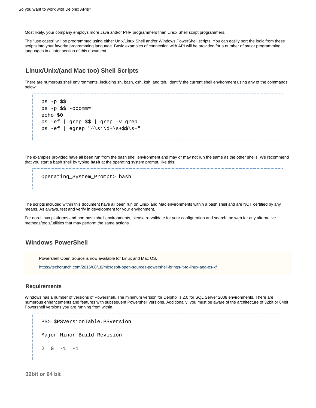Most likely, your company employs more Java and/or PHP programmers than Linux Shell script programmers.

The "use cases" will be programmed using either Unix/Linux Shell and/or Windows PowerShell scripts. You can easily port the logic from these scripts into your favorite programming language. Basic examples of connection with API will be provided for a number of major programming languages in a later section of this document.

#### <span id="page-23-0"></span>**Linux/Unix/(and Mac too) Shell Scripts**

There are numerous shell environments, including sh, bash, csh, ksh, and tsh. Identify the current shell environment using any of the commands below:

```
ps -p $$
ps -p $ $ -ocomm=
echo $0
ps -ef | grep $$ | grep -v grep
ps -ef | eqrep "\^\\s^+ \ddot{d}+\s+\$\
```
The examples provided have all been run from the bash shell environment and may or may not run the same as the other shells. We recommend that you start a bash shell by typing **bash** at the operating system prompt, like this:

```
Operating_System_Prompt> bash
```
The scripts included within this document have all been run on Linux and Mac environments within a bash shell and are NOT certified by any means. As always, test and verify in development for your environment.

For non-Linux platforms and non-bash shell environments, please re-validate for your configuration and search the web for any alternative methods/tools/utilities that may perform the same actions.

#### <span id="page-23-1"></span>**Windows PowerShell**

Powershell Open Source is now available for Linux and Mac OS.

<https://techcrunch.com/2016/08/18/microsoft-open-sources-powershell-brings-it-to-linux-and-os-x/>

#### <span id="page-23-2"></span>**Requirements**

Windows has a number of versions of Powershell. The minimum version for Delphix is 2.0 for SQL Server 2008 environments. There are numerous enhancements and features with subsequent Powershell versions. Additionally, you must be aware of the architecture of 32bit or 64bit Powershell versions you are running from within.

```
PS> $PSVersionTable.PSVersion
Major Minor Build Revision
----- ----- ----- --------
2 \t 0 \t -1 \t -1
```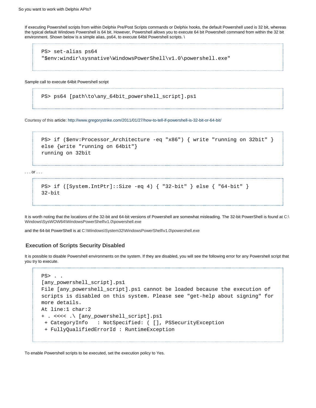If executing Powershell scripts from within Delphix Pre/Post Scripts commands or Delphix hooks, the default Powershell used is 32 bit, whereas the typical default Windows Powershell is 64 bit. However, Powershell allows you to execute 64 bit Powershell command from within the 32 bit environment. Shown below is a simple alias, ps64, to execute 64bit Powershell scripts. \

```
PS> set-alias ps64
"$env:windir\sysnative\WindowsPowerShell\v1.0\powershell.exe"
```
Sample call to execute 64bit Powershell script

```
PS> ps64 [path\to\any_64bit_powershell_script].ps1
```
Courtesy of this article: <http://www.gregorystrike.com/2011/01/27/how-to-tell-if-powershell-is-32-bit-or-64-bit/>

```
PS> if ($env:Processor Architecture -eq "x86") { write "running on 32bit" }
else {write "running on 64bit"}
running on 32bit
```
. . . or . . .

PS> if ([System.IntPtr]::Size -eq 4) { "32-bit" } else { "64-bit" } 32-bit

It is worth noting that the locations of the 32-bit and 64-bit versions of Powershell are somewhat misleading. The 32-bit PowerShell is found at C:\ Windows\SysWOW64\WindowsPowerShell\v1.0\powershell.exe

and the 64-bit PowerShell is at C:\Windows\System32\WindowsPowerShell\v1.0\powershell.exe

#### <span id="page-24-0"></span>**Execution of Scripts Security Disabled**

It is possible to disable Powershell environments on the system. If they are disabled, you will see the following error for any Powershell script that you try to execute.

```
PS> . .
[any_powershell_script].ps1
File [any_powershell_script].ps1 cannot be loaded because the execution of
scripts is disabled on this system. Please see "get-help about signing" for
more details.
At line:1 char:2
+ . <<<< .\ [any_powershell_script].ps1
  + CategoryInfo : NotSpecified: ( [], PSSecurityException
  + FullyQualifiedErrorId : RuntimeException
```
To enable Powershell scripts to be executed, set the execution policy to Yes.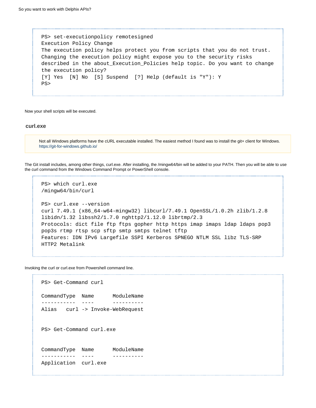PS> set-executionpolicy remotesigned Execution Policy Change The execution policy helps protect you from scripts that you do not trust. Changing the execution policy might expose you to the security risks described in the about\_Execution\_Policies help topic. Do you want to change the execution policy? [Y] Yes [N] No [S] Suspend [?] Help (default is "Y"): Y PS>

Now your shell scripts will be executed.

#### <span id="page-25-0"></span>**curl.exe**

Not all Windows platforms have the cURL executable installed. The easiest method I found was to install the git+ client for Windows. <https://git-for-windows.github.io/>

The Git install includes, among other things, curl.exe. After installing, the /mingw64/bin will be added to your PATH. Then you will be able to use the curl command from the Windows Command Prompt or PowerShell console.

```
PS> which curl.exe
/mingw64/bin/curl
PS> curl.exe --version
curl 7.49.1 (x86_64-w64-mingw32) libcurl/7.49.1 OpenSSL/1.0.2h zlib/1.2.8
libidn/1.32 libssh2/1.7.0 nghttp2/1.12.0 librtmp/2.3
Protocols: dict file ftp ftps gopher http https imap imaps ldap ldaps pop3
pop3s rtmp rtsp scp sftp smtp smtps telnet tftp
Features: IDN IPv6 Largefile SSPI Kerberos SPNEGO NTLM SSL libz TLS-SRP
HTTP2 Metalink
```
Invoking the curl or curl.exe from Powershell command line.

```
PS> Get-Command curl
CommandType Name ModuleName
----------- ---- ----------
Alias curl -> Invoke-WebRequest 
PS> Get-Command curl.exe
CommandType Name ModuleName
----------- ---- ----------
Application curl.exe
```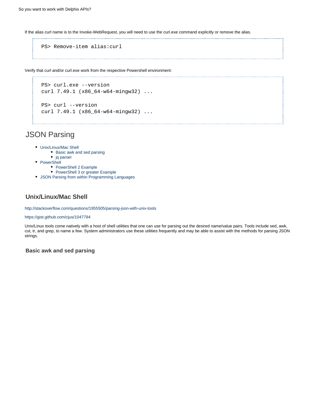If the alias curl name is to the Invoke-WebRequest, you will need to use the curl.exe command explicitly or remove the alias.

```
PS> Remove-item alias:curl
```
Verify that curl and/or curl.exe work from the respective Powershell environment:

```
PS> curl.exe --version
curl 7.49.1 (x86_64-w64-mingw32) ...
PS> curl --version
curl 7.49.1 (x86 64-w64-mingw32) ...
```
## <span id="page-26-0"></span>JSON Parsing

- [Unix/Linux/Mac Shell](#page-26-1)
	- [Basic awk and sed parsing](#page-26-2)
- [jq parser](#page-32-0)
- [PowerShell](#page-37-0)
	- [PowerShell 2 Example](#page-37-1)
	- [PowerShell 3 or greater Example](#page-41-1)
- [JSON Parsing from within Programming Languages](#page-41-2)

## <span id="page-26-1"></span>**Unix/Linux/Mac Shell**

<http://stackoverflow.com/questions/1955505/parsing-json-with-unix-tools>

#### <https://gist.github.com/cjus/1047794>

Unix/Linux tools come natively with a host of shell utilities that one can use for parsing out the desired name/value pairs. Tools include sed, awk, cut, tr, and grep, to name a few. System administrators use these utilities frequently and may be able to assist with the methods for parsing JSON strings.

<span id="page-26-2"></span>**Basic awk and sed parsing**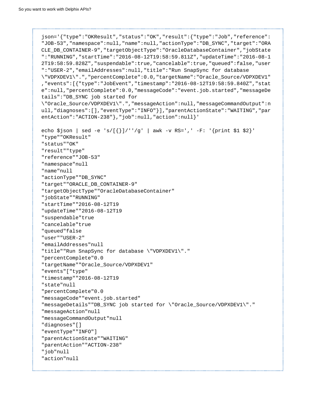```
json='{"type":"OKResult","status":"OK","result":{"type":"Job","reference":
"JOB-53","namespace":null,"name":null,"actionType":"DB_SYNC","target":"ORA
CLE_DB_CONTAINER-9","targetObjectType":"OracleDatabaseContainer","jobState
":"RUNNING","startTime":"2016-08-12T19:58:59.811Z","updateTime":"2016-08-1
2T19:58:59.828Z","suspendable":true,"cancelable":true,"queued":false,"user
":"USER-2","emailAddresses":null,"title":"Run SnapSync for database
\"VDPXDEV1\".","percentComplete":0.0,"targetName":"Oracle_Source/VDPXDEV1"
,"events":[{"type":"JobEvent","timestamp":"2016-08-12T19:58:59.840Z","stat
e":null,"percentComplete":0.0,"messageCode":"event.job.started","messageDe
tails":"DB_SYNC job started for
\"Oracle_Source/VDPXDEV1\".","messageAction":null,"messageCommandOutput":n
ull,"diagnoses":[],"eventType":"INFO"}],"parentActionState":"WAITING","par
entAction":"ACTION-238"},"job":null,"action":null}' 
echo \Sjson | sed -e 's/[{}]/''/g' | awk -v RS=',' -F: '{print \S1 \S2}'
"type""OKResult"
"status""OK"
"result""type"
"reference""JOB-53"
"namespace"null
"name"null
"actionType""DB_SYNC"
"target""ORACLE_DB_CONTAINER-9"
"targetObjectType""OracleDatabaseContainer"
"jobState""RUNNING"
"startTime""2016-08-12T19
"updateTime""2016-08-12T19
"suspendable"true
"cancelable"true
"queued"false
"user""USER-2"
"emailAddresses"null
"title""Run SnapSync for database \"VDPXDEV1\"."
"percentComplete"0.0
"targetName""Oracle_Source/VDPXDEV1"
"events"["type"
"timestamp""2016-08-12T19
"state"null
"percentComplete"0.0
"messageCode""event.job.started"
"messageDetails""DB_SYNC job started for \"Oracle_Source/VDPXDEV1\"."
"messageAction"null
"messageCommandOutput"null
"diagnoses"[]
"eventType""INFO"]
"parentActionState""WAITING"
"parentAction""ACTION-238"
"job"null
"action"null
```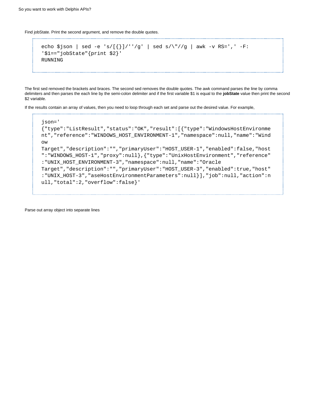Find jobState. Print the second argument, and remove the double quotes. 

```
echo $json | sed -e 's/[{}]/''/g' | sed s/\"//g | awk -v RS=',' -F:
'$1=="jobState"{print $2}' 
RUNNING
```
The first sed removed the brackets and braces. The second sed removes the double quotes. The awk command parses the line by comma delimiters and then parses the each line by the semi-colon delimiter and if the first variable \$1 is equal to the **jobState** value then print the second \$2 variable.

--------------------------

If the results contain an array of values, then you need to loop through each set and parse out the desired value. For example,

```
json='
{"type":"ListResult","status":"OK","result":[{"type":"WindowsHostEnvironme
nt","reference":"WINDOWS_HOST_ENVIRONMENT-1","namespace":null,"name":"Wind
ow
Target","description":"","primaryUser":"HOST_USER-1","enabled":false,"host
":"WINDOWS_HOST-1","proxy":null},{"type":"UnixHostEnvironment","reference"
:"UNIX_HOST_ENVIRONMENT-3","namespace":null,"name":"Oracle
Target","description":"","primaryUser":"HOST_USER-3","enabled":true,"host"
:"UNIX_HOST-3","aseHostEnvironmentParameters":null}],"job":null,"action":n
ull,"total":2,"overflow":false}'
```
Parse out array object into separate lines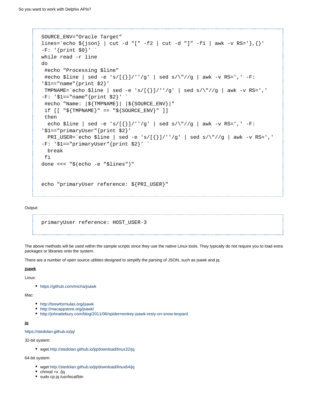```
SOURCE_ENV="Oracle Target"
lines=`echo ${json} | cut -d "[" -f2 | cut -d "]" -f1 | awk -v RS='}, {}'
-F: '{print $0}'while read -r line
do
  #echo "Processing $line"
 #echo $line | sed -e 's/[\{\}]/''/g' | sed s/\"//g | awk -v RS=',' -F:
'$1=="name"{print $2}'
 TMPNAME=`echo $line | sed -e 's/[\{\}\|''/g' | sed s/\"//g | awk -v RS=','
-F: '$1 == "name" {print $2}'' #echo "Name: |${TMPNAME}| |${SOURCE_ENV}|"
 if [ " \frac{1}{2} \frac{1}{2} \frac{1}{2} \frac{1}{2} \frac{1}{2} \frac{1}{2} \frac{1}{2} \frac{1}{2} \frac{1}{2} \frac{1}{2} \frac{1}{2} \frac{1}{2} \frac{1}{2} \frac{1}{2} \frac{1}{2} \frac{1}{2} \frac{1}{2} \frac{1}{2} \frac{1}{2} \frac{1}{2} \frac{1}{2} 
  then
  echo $line | sed -e 's/[{}]/''/g' | sed s/\"//g | awk -v RS=',' -F:
'$1=="primaryUser"{print $2}'
  PRI_USER=`echo $line | sed -e 's/[\{}]/''/g' | sed s/\"//g | awk -v RS=','
-F: '$1=="primaryUser"{print $2}' `
   break
  fi
done <<< "$(echo -e "$lines")" 
echo "primaryUser reference: ${PRI_USER}"
```
#### Output:

primaryUser reference: HOST\_USER-3

The above methods will be used within the sample scripts since they use the native Linux tools. They typically do not require you to load extra packages or libraries onto the system.

There are a number of open source utilities designed to simplify the parsing of JSON, such as jsawk and jq.

#### **jsawk**

Linux:

<https://github.com/micha/jsawk>

#### Mac:

- <http://brewformulas.org/jsawk>
- <http://macappstore.org/jsawk/>
- <http://johnattebury.com/blog/2011/06/spidermonkey-jsawk-resty-on-snow-leopard>

#### **jq**

<https://stedolan.github.io/jq/>

32-bit system:

wget<http://stedolan.github.io/jq/download/linux32/jq>

64-bit system:

- wget<http://stedolan.github.io/jq/download/linux64/jq>
- $\bullet$  chmod +x ./jq
- sudo cp jq /usr/local/bin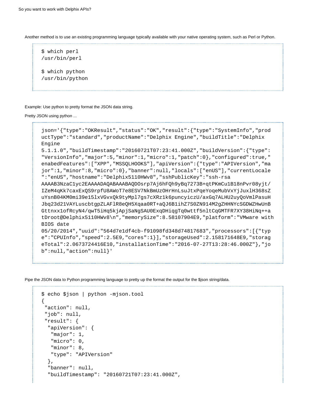Another method is to use an existing programming language typically available with your native operating system, such as Perl or Python.

```
$ which perl
/usr/bin/perl
$ which python
/usr/bin/python
```
Example: Use python to pretty format the JSON data string.

```
Pretty JSON using python ...
```

```
json='{"type":"OKResult","status":"OK","result":{"type":"SystemInfo","prod
uctType":"standard","productName":"Delphix Engine","buildTitle":"Delphix
Engine
5.1.1.0","buildTimestamp":"20160721T07:23:41.000Z","buildVersion":{"type":
"VersionInfo","major":5,"minor":1,"micro":1,"patch":0},"configured":true,"
enabedFeatures":["XPP","MSSQLHOOKS"],"apiVersion":{"type":"APIVersion","ma
jor":1,"minor":8,"micro":0},"banner":null,"locals":["enUS"],"currentLocale
":"enUS","hostname":"Delphix5110HWv8","sshPublicKey":"ssh-rsa
AAAAB3NzaC1yc2EAAAADAQABAAABAQDOsrp7Aj6hFQh9yBq7273B+qtPKmCu1B18nPvr08yjt/
IZeM4qKk7caxExQS9rpfU8AWoT7e8ESV7NkBmUzOHrHnLsuJtxPqeYoqeMubVxYjJuxlH368sZ
uYsnB04KM0mi39e15lxVGvxQk9tyMpl7gs7cXRz1k6puncyiczU/axGq7ALHU2uyQoVmlPasuH
Jbq23d21VAYLuscbtgpZLAFlR8eQH5Xqaa0RT+aQJ6B1ihZ7S0ZN914M2gZHHNYcSGDWZHwUnB
Gttnxx1ofRcyN4/qwT5iHq5kjApjSaNgSAU0ExqDHiqgTq0wttf5nltCqGMTFR7XY38HiNq++a
tDroot@Delphix5110HWv8\n","memorySize":8.58107904E9,"platform":"VMware with
BIOS date
05/20/2014","uuid":"564d7e1df4cb-f91098fd348d74817683","processors":[{"typ
e":"CPUInfo","speed":2.5E9,"cores":1}],"storageUsed":2.158171648E9,"storag
eTotal":2.0673724416E10,"installationTime":"2016-07-27T13:28:46.000Z"},"jo
b":null,"action":null}'
```
Pipe the JSON data to Python programming language to pretty up the format the output for the \$json string/data.

```
$ echo $json | python -mjson.tool
{
  "action": null, 
  "job": null, 
  "result": {
   "apiVersion": {
    "major": 1, 
    "micro": 0, 
    "minor": 8, 
    "type": "APIVersion"
   }, 
   "banner": null, 
   "buildTimestamp": "20160721T07:23:41.000Z",
```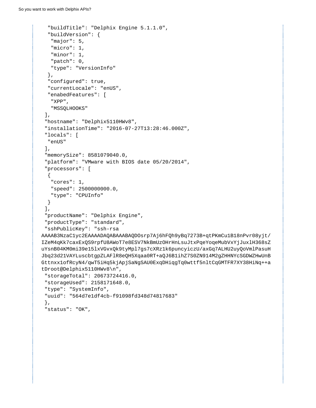```
 "buildTitle": "Delphix Engine 5.1.1.0", 
   "buildVersion": {
    "major": 5, 
    "micro": 1, 
    "minor": 1, 
    "patch": 0, 
    "type": "VersionInfo"
   }, 
   "configured": true, 
   "currentLocale": "enUS", 
   "enabedFeatures": [
   "XPP", 
    "MSSQLHOOKS"
 \cdot "hostname": "Delphix5110HWv8", 
  "installationTime": "2016-07-27T13:28:46.000Z", 
  "locals": [
   "enUS"
 \,], \, "memorySize": 8581079040.0, 
  "platform": "VMware with BIOS date 05/20/2014", 
  "processors": [
   {
    "cores": 1, 
   "speed": 2500000000.0, 
   "type": "CPUInfo"
  }
  ], 
  "productName": "Delphix Engine", 
  "productType": "standard", 
  "sshPublicKey": "ssh-rsa
AAAAB3NzaC1yc2EAAAADAQABAAABAQDOsrp7Aj6hFQh9yBq7273B+qtPKmCu1B18nPvr08yjt/
IZeM4qKk7caxExQS9rpfU8AWoT7e8ESV7NkBmUzOHrHnLsuJtxPqeYoqeMubVxYjJuxlH368sZ
uYsnB04KM0mi39e15lxVGvxQk9tyMpl7gs7cXRz1k6puncyiczU/axGq7ALHU2uyQoVmlPasuH
Jbq23d21VAYLuscbtgpZLAFlR8eQH5Xqaa0RT+aQJ6B1ihZ7S0ZN914M2gZHHNYcSGDWZHwUnB
Gttnxx1ofRcyN4/qwT5iHq5kjApjSaNgSAU0ExqDHiqgTq0wttf5nltCqGMTFR7XY38HiNq++a
tDroot@Delphix5110HWv8\n",
 "storageTotal": 20673724416.0, 
  "storageUsed": 2158171648.0, 
  "type": "SystemInfo", 
  "uuid": "564d7e1df4cb-f91098fd348d74817683"
  }, 
  "status": "OK",
```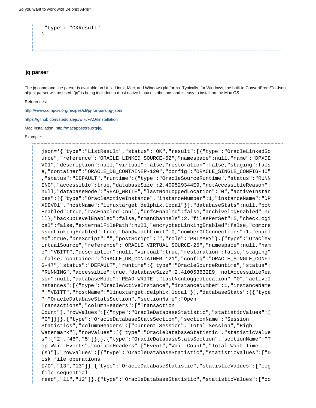```
 "type": "OKResult"
}
```
#### <span id="page-32-0"></span>**jq parser**

The jq command line parser is available on Unix, Linux, Mac, and Windows platforms. Typically, for Windows, the built-in ConvertFrom/To-Json object parser will be used. "jq" is being included in most native Linux distributions and is easy to install on the Mac OS.

References:

<http://www.compciv.org/recipes/cli/jq-for-parsing-json/>

<https://github.com/stedolan/jq/wiki/FAQ#installation>

Mac Installation: <http://macappstore.org/jq/>

#### Example:

json='{"type":"ListResult","status":"OK","result":[{"type":"OracleLinkedSo urce","reference":"ORACLE\_LINKED\_SOURCE-52","namespace":null,"name":"DPXDE V01","description":null,"virtual":false,"restoration":false,"staging":fals e,"container":"ORACLE\_DB\_CONTAINER-120","config":"ORACLE\_SINGLE\_CONFIG-40" ,"status":"DEFAULT","runtime":{"type":"OracleSourceRuntime","status":"RUNN ING","accessible":true,"databaseSize":2.409529344E9,"notAccessibleReason": null,"databaseMode":"READ\_WRITE","lastNonLoggedLocation":"0","activeInstan ces":[{"type":"OracleActiveInstance","instanceNumber":1,"instanceName":"DP XDEV01","hostName":"linuxtarget.delphix.local"}],"databaseStats":null,"bct Enabled":true,"racEnabled":null,"dnfsEnabled":false,"archivelogEnabled":nu ll},"backupLevelEnabled":false,"rmanChannels":2,"filesPerSet":5,"checkLogi cal":false,"externalFilePath":null,"encryptedLinkingEnabled":false,"compre ssedLinkingEnabled":true,"bandwidthLimit":0,"numberOfConnections":1,"enabl ed":true,"preScript":"","postScript":"","role":"PRIMARY"},{"type":"OracleV irtualSource","reference":"ORACLE\_VIRTUAL\_SOURCE-25","namespace":null,"nam e":"VBITT","description":null,"virtual":true,"restoration":false,"staging" :false,"container":"ORACLE\_DB\_CONTAINER-121","config":"ORACLE\_SINGLE\_CONFI G-47","status":"DEFAULT","runtime":{"type":"OracleSourceRuntime","status": "RUNNING","accessible":true,"databaseSize":2.410053632E9,"notAccessibleRea son":null,"databaseMode":"READ\_WRITE","lastNonLoggedLocation":"0","activeI nstances":[{"type":"OracleActiveInstance","instanceNumber":1,"instanceName ":"VBITT","hostName":"linuxtarget.delphix.local"}],"databaseStats":[{"type ":"OracleDatabaseStatsSection","sectionName":"Open Transactions","columnHeaders":["Transaction Count"],"rowValues":[{"type":"OracleDatabaseStatistic","statisticValues":[ "0"]}]},{"type":"OracleDatabaseStatsSection","sectionName":"Session Statistics","columnHeaders":["Current Session","Total Session","High Watermark"],"rowValues":[{"type":"OracleDatabaseStatistic","statisticValue s":["2","46","5"]}]},{"type":"OracleDatabaseStatsSection","sectionName":"T op Wait Events","columnHeaders":["Event","Wait Count","Total Wait Time (s)"],"rowValues":[{"type":"OracleDatabaseStatistic","statisticValues":["D isk file operations I/O","13","13"]},{"type":"OracleDatabaseStatistic","statisticValues":["log file sequential read","11","12"]},{"type":"OracleDatabaseStatistic","statisticValues":["co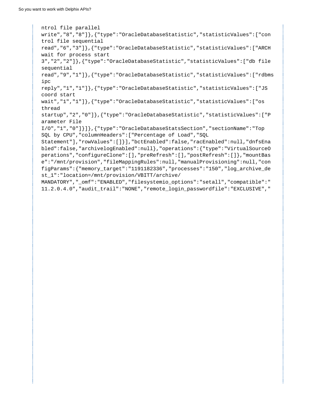ntrol file parallel write","8","8"]},{"type":"OracleDatabaseStatistic","statisticValues":["con trol file sequential read","6","3"]},{"type":"OracleDatabaseStatistic","statisticValues":["ARCH wait for process start 3","2","2"]},{"type":"OracleDatabaseStatistic","statisticValues":["db file sequential read","9","1"]},{"type":"OracleDatabaseStatistic","statisticValues":["rdbms ipc reply","1","1"]},{"type":"OracleDatabaseStatistic","statisticValues":["JS coord start wait","1","1"]},{"type":"OracleDatabaseStatistic","statisticValues":["os thread startup","2","0"]},{"type":"OracleDatabaseStatistic","statisticValues":["P arameter File I/O","1","0"]}]},{"type":"OracleDatabaseStatsSection","sectionName":"Top SQL by CPU","columnHeaders":["Percentage of Load","SQL Statement"],"rowValues":[]}],"bctEnabled":false,"racEnabled":null,"dnfsEna bled":false,"archivelogEnabled":null},"operations":{"type":"VirtualSourceO perations","configureClone":[],"preRefresh":[],"postRefresh":[]},"mountBas e":"/mnt/provision","fileMappingRules":null,"manualProvisioning":null,"con figParams":{"memory\_target":"1191182336","processes":"150","log\_archive\_de st\_1":"location=/mnt/provision/VBITT/archive/ MANDATORY"," omf":"ENABLED","filesystemio options":"setall","compatible":" 11.2.0.4.0","audit\_trail":"NONE","remote\_login\_passwordfile":"EXCLUSIVE","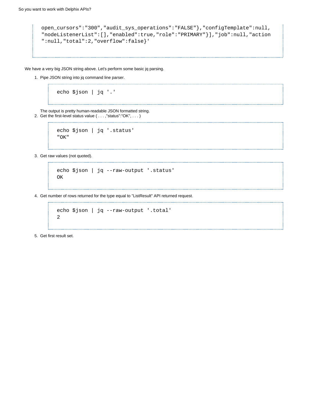```
open_cursors":"300","audit_sys_operations":"FALSE"},"configTemplate":null,
"nodeListenerList":[],"enabled":true,"role":"PRIMARY"}],"job":null,"action
":null,"total":2,"overflow":false}'
```
We have a very big JSON string above. Let's perform some basic jq parsing.

1. Pipe JSON string into jq command line parser. 

```
echo $json | jq '.'
```
2. Get the first-level status value ( . . . ,"status":"OK", . . . ) The output is pretty human-readable JSON formatted string.

```
echo $json | jq '.status'
"OK"
```
3. Get raw values (not quoted).

```
echo $json | jq --raw-output '.status'
OK
```
4. Get number of rows returned for the type equal to "ListResult" API returned request.

```
echo $json | jq --raw-output '.total'
2
```
5. Get first result set.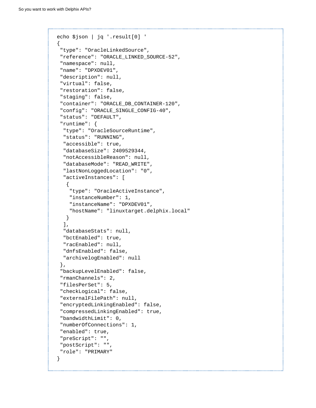```
echo $json | jq '.result[0] '
{
  "type": "OracleLinkedSource",
  "reference": "ORACLE_LINKED_SOURCE-52",
  "namespace": null,
  "name": "DPXDEV01",
  "description": null,
  "virtual": false,
  "restoration": false,
  "staging": false,
  "container": "ORACLE_DB_CONTAINER-120",
  "config": "ORACLE_SINGLE_CONFIG-40",
  "status": "DEFAULT",
  "runtime": {
   "type": "OracleSourceRuntime",
   "status": "RUNNING",
   "accessible": true,
   "databaseSize": 2409529344,
   "notAccessibleReason": null,
   "databaseMode": "READ_WRITE",
   "lastNonLoggedLocation": "0",
   "activeInstances": [
   \{ "type": "OracleActiveInstance",
     "instanceNumber": 1,
     "instanceName": "DPXDEV01",
     "hostName": "linuxtarget.delphix.local"
    }
   ],
   "databaseStats": null,
   "bctEnabled": true,
   "racEnabled": null,
   "dnfsEnabled": false,
   "archivelogEnabled": null
  },
  "backupLevelEnabled": false,
  "rmanChannels": 2,
  "filesPerSet": 5,
  "checkLogical": false,
  "externalFilePath": null,
  "encryptedLinkingEnabled": false,
  "compressedLinkingEnabled": true,
  "bandwidthLimit": 0,
  "numberOfConnections": 1,
  "enabled": true,
  "preScript": "",
  "postScript": "",
  "role": "PRIMARY"
}
```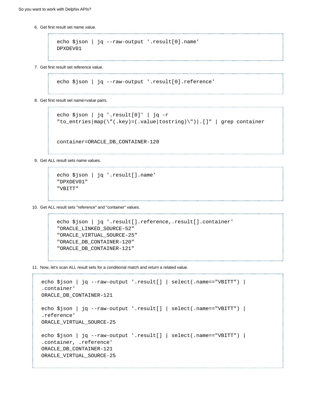6. Get first result set name value.

```
echo $json | jq --raw-output '.result[0].name'
DPXDEV01
```
7. Get first result set reference value.

```
echo $json | jq --raw-output '.result[0].reference'
```
8. Get first result set name=value pairs.

echo \$json | jq '.result[0]' | jq -r "to\_entries|map(\"(.key)=(.value|tostring)\")|.[]" | grep container

container=ORACLE\_DB\_CONTAINER-120

9. Get ALL result sets name values.

```
echo $json | jq '.result[].name'
"DPXDEV01"
"VBITT"
```
10. Get ALL result sets "reference" and "container" values.

```
echo $json | jq '.result[].reference,.result[].container'
"ORACLE_LINKED_SOURCE-52"
"ORACLE_VIRTUAL_SOURCE-25"
"ORACLE_DB_CONTAINER-120"
"ORACLE_DB_CONTAINER-121"
```
11. Now, let's scan ALL result sets for a conditional match and return a related value.

```
echo $json | jq --raw-output '.result[] | select(.name=="VBITT") |
.container' 
ORACLE_DB_CONTAINER-121
echo $json | jq --raw-output '.result[] | select(.name=="VBITT") |
.reference' 
ORACLE_VIRTUAL_SOURCE-25
echo $json | jq --raw-output '.result[] | select(.name=="VBITT") |
.container, .reference'
ORACLE_DB_CONTAINER-121
ORACLE_VIRTUAL_SOURCE-25
```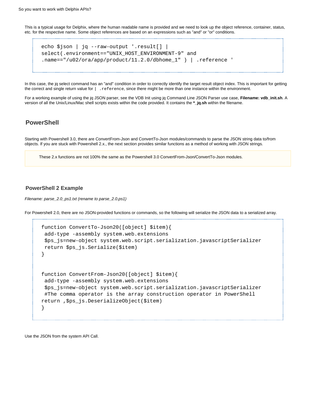This is a typical usage for Delphix, where the human readable name is provided and we need to look up the object reference, container, status, etc. for the respective name. Some object references are based on an expressions such as "and" or "or" conditions.

```
echo $json | jq --raw-output '.result[] |
select(.environment=="UNIX_HOST_ENVIRONMENT-9" and
.name=="/u02/ora/app/product/11.2.0/dbhome_1" ) | .reference '
```
In this case, the jq select command has an "and" condition in order to correctly identify the target result object index. This is important for getting the correct and single return value for | .reference, since there might be more than one instance within the environment.

For a working example of using the jq JSON parser, see the VDB Init using jq Command Line JSON Parser use case, **Filename: vdb\_init.sh**. A version of all the Unix/Linux/Mac shell scripts exists within the code provided. It contains the **\*\_jq.sh** within the filename.

# **PowerShell**

Starting with Powershell 3.0, there are ConvertFrom-Json and ConvertTo-Json modules/commands to parse the JSON string data to/from objects. If you are stuck with Powershell 2.x., the next section provides similar functions as a method of working with JSON strings.

These 2.x functions are not 100% the same as the Powershell 3.0 ConvertFrom-Json/ConvertTo-Json modules.

### **PowerShell 2 Example**

Filename: parse\_2.0\_ps1.txt (rename to parse\_2.0.ps1)

For Powershell 2.0, there are no JSON-provided functions or commands, so the following will serialize the JSON data to a serialized array.

```
function ConvertTo-Json20([object] $item){
  add-type -assembly system.web.extensions
  $ps_js=new-object system.web.script.serialization.javascriptSerializer
 return $ps_js.Serialize($item)
}
function ConvertFrom-Json20([object] $item){ 
  add-type -assembly system.web.extensions
  $ps_js=new-object system.web.script.serialization.javascriptSerializer
  #The comma operator is the array construction operator in PowerShell
return ,$ps_js.DeserializeObject($item)
}
```
Use the JSON from the system API Call.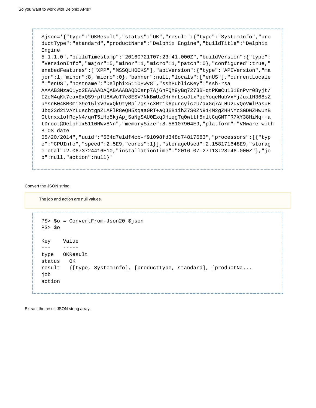```
$json='{"type":"OKResult","status":"OK","result":{"type":"SystemInfo","pro
ductType":"standard","productName":"Delphix Engine","buildTitle":"Delphix
Engine
5.1.1.0","buildTimestamp":"20160721T07:23:41.000Z","buildVersion":{"type":
"VersionInfo","major":5,"minor":1,"micro":1,"patch":0},"configured":true,"
enabedFeatures":["XPP","MSSQLHOOKS"],"apiVersion":{"type":"APIVersion","ma
jor":1,"minor":8,"micro":0},"banner":null,"locals":["enUS"],"currentLocale
":"enUS","hostname":"Delphix5110HWv8","sshPublicKey":"ssh-rsa
AAAAB3NzaC1yc2EAAAADAQABAAABAQDOsrp7Aj6hFQh9yBq7273B+qtPKmCu1B18nPvr08yjt/
IZeM4qKk7caxExQS9rpfU8AWoT7e8ESV7NkBmUzOHrHnLsuJtxPqeYoqeMubVxYjJuxlH368sZ
uYsnB04KM0mi39e15lxVGvxQk9tyMpl7gs7cXRz1k6puncyiczU/axGq7ALHU2uyQoVmlPasuH
Jbq23d21VAYLuscbtgpZLAFlR8eQH5Xqaa0RT+aQJ6B1ihZ7S0ZN914M2gZHHNYcSGDWZHwUnB
Gttnxx1ofRcyN4/qwT5iHq5kjApjSaNgSAU0ExqDHiqgTq0wttf5nltCqGMTFR7XY38HiNq++a
tDroot@Delphix5110HWv8\n","memorySize":8.58107904E9,"platform":"VMware with
BIOS date
05/20/2014","uuid":"564d7e1df4cb-f91098fd348d74817683","processors":[{"typ
e":"CPUInfo","speed":2.5E9,"cores":1}],"storageUsed":2.158171648E9,"storag
eTotal":2.0673724416E10,"installationTime":"2016-07-27T13:28:46.000Z"},"jo
b":null,"action":null}'
```
#### Convert the JSON string.

The job and action are null values.

```
PS> $o = ConvertFrom-Json20 $json
PS> $o
Key Value
--- -----
type OKResult
status OK
result {[type, SystemInfo], [productType, standard], [productNa...
job
action
```
Extract the result JSON string array.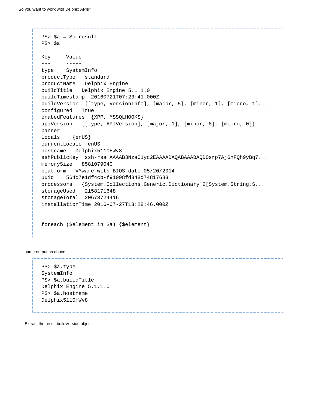```
PS> $a = $o.result
PS> $a
Key Value
--- -----
type SystemInfo
productType standard
productName Delphix Engine
buildTitle Delphix Engine 5.1.1.0
buildTimestamp 20160721T07:23:41.000Z
buildVersion {[type, VersionInfo], [major, 5], [minor, 1], [micro, 1]...
configured True
enabedFeatures {XPP, MSSQLHOOKS}
apiVersion {[type, APIVersion], [major, 1], [minor, 8], [micro, 0]}
banner
locals {enUS}
currentLocale enUS
hostname Delphix5110HWv8
sshPublicKey ssh-rsa AAAAB3NzaC1yc2EAAAADAQABAAABAQDOsrp7Aj6hFQh9yBq7...
memorySize 8581079040
platform VMware with BIOS date 05/20/2014
uuid 564d7e1df4cb-f91098fd348d74817683
processors {System.Collections.Generic.Dictionary`2[System.String,S...
storageUsed 2158171648
storageTotal 20673724416
installationTime 2016-07-27T13:28:46.000Z 
foreach ($element in $a) {$element}
```
same output as above

PS> \$a.type SystemInfo PS> \$a.buildTitle Delphix Engine 5.1.1.0 PS> \$a.hostname Delphix5110HWv8

Extract the result.buildVersion object.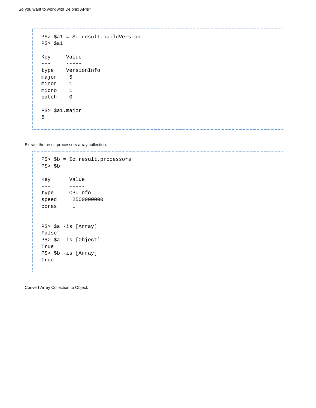```
PS> $a1 = $o.result.buildVersion
PS> $a1
Key Value
--- -----
type VersionInfo
major 5
minor 1
micro 1
patch 0
PS> $a1.major 
5
```
Extract the result.processors array collection.

```
PS> $b = $o.result.processors 
PS> $b 
Key Value
--- ----- 
type CPUInfo
speed 2500000000
cores 1
PS> $a -is [Array] 
False
PS> $a -is [Object] 
True
PS> $b -is [Array] 
True
```
Convert Array Collection to Object.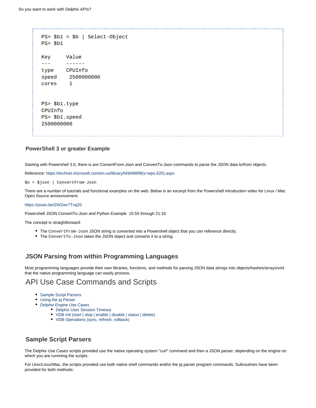```
PS> $b1 = $b | Select-Object 
PS> $b1 
Key Value
--- ------
type CPUInfo
speed 2500000000
cores 1
PS> $b1.type 
CPUInfo
PS> $b1.speed
2500000000
```
### **PowerShell 3 or greater Example**

Starting with Powershell 3.0, there is are ConvertFrom-Json and ConvertTo-Json commands to parse the JSON data to/from objects.

Reference: [https://technet.microsoft.com/en-us/library/hh849898\(v=wps.620\).aspx](https://technet.microsoft.com/en-us/library/hh849898(v=wps.620).aspx)

\$o = \$json | ConvertFrom-Json

There are a number of tutorials and functional examples on the web. Below is an excerpt from the Powershell introduction video for Linux / Mac Open Source announcement.

#### <https://youtu.be/2WZwv7TxqZ0>

Powershell JSON ConvertTo-Json and Python Example 15:55 through 21:16

The concept is straightforward:

- The ConvertFrom-Json JSON string is converted into a Powershell object that you can reference directly.
- The Convert To-Json takes the JSON object and converts it to a string.

## **JSON Parsing from within Programming Languages**

Most programming languages provide their own libraries, functions, and methods for parsing JSON data strings into objects/hashes/arrays/xml that the native programming language can easily process.

# API Use Case Commands and Scripts

- [Sample Script Parsers](#page-41-0)
- [Using the jq Parser](#page-42-0)
- [Delphix Engine Use Cases](#page-43-0)
	- [Delphix User Session Timeout](#page-43-1)
	- [VDB Init \(start | stop | enable | disable | status | delete\)](#page-44-0)
	- [VDB Operations \(sync, refresh, rollback\)](#page-45-0)

# <span id="page-41-0"></span>**Sample Script Parsers**

The Delphix Use Cases scripts provided use the native operating system "curl" command and then a JSON parser, depending on the engine on which you are runnning the scripts.

For Unix/Linux/Mac, the scripts provided use both native shell commands and/or the jq parser program commands. Subroutines have been provided for both methods: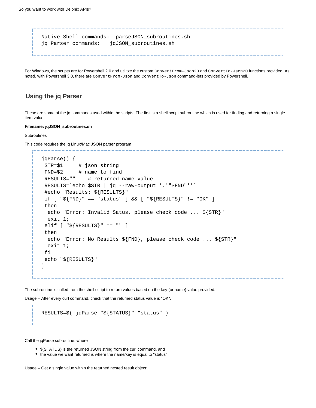Native Shell commands: parseJSON\_subroutines.sh jq Parser commands: jqJSON\_subroutines.sh

For Windows, the scripts are for Powershell 2.0 and utilitze the custom ConvertFrom-Json20 and ConvertTo-Json20 functions provided. As noted, with Powershell 3.0, there are ConvertFrom-Json and ConvertTo-Json command-lets provided by Powershell.

## <span id="page-42-0"></span>**Using the jq Parser**

These are some of the jq commands used within the scripts. The first is a shell script subroutine which is used for finding and returning a single item value.

#### **Filename: jqJSON\_subroutines.sh**

#### **Subroutines**

This code requires the jq Linux/Mac JSON parser program

```
jqParse() {
 STR=$1 # json string
 FND=$2 # name to find
 RESULTS="" # returned name value
 RESULTS=`echo $STR | jq --raw-output '.'"$FND"''`
 #echo "Results: ${RESULTS}"
 if [ "${FND}" == "status" ] && [ "${RESULTS}" != "OK" ]
 then
  echo "Error: Invalid Satus, please check code ... ${STR}"
  exit 1;
elif [ "${RESULTS}" == "" ]
 then
  echo "Error: No Results ${FND}, please check code ... ${STR}"
  exit 1;
 fi
 echo "${RESULTS}"
}
```
The subroutine is called from the shell script to return values based on the key (or name) value provided.

Usage – After every curl command, check that the returned status value is "OK".

```
RESULTS=$( jqParse "${STATUS}" "status" )
```
Call the jqParse subroutine, where

- \${STATUS} is the returned JSON string from the curl command, and
- the value we want returned is where the name/key is equal to "status"

Usage – Get a single value within the returned nested result object: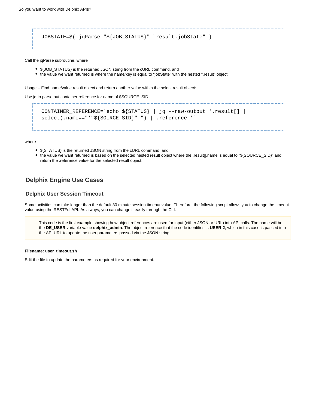JOBSTATE=\$( jqParse "\${JOB\_STATUS}" "result.jobState" )

Call the jqParse subroutine, where

- \${JOB\_STATUS} is the returned JSON string from the cURL command, and
- the value we want returned is where the name/key is equal to "jobState" with the nested ".result" object.

Usage – Find name/value result object and return another value within the select result object:

Use jq to parse out container reference for name of \$SOURCE\_SID ...

```
CONTAINER_REFERENCE=`echo ${STATUS} | jq --raw-output '.result[] |
select(.name=="'"${SOURCE_SID}"'") | .reference '`
```
where

- \${STATUS} is the returned JSON string from the cURL command, and
- the value we want returned is based on the selected nested result object where the .result[].name is equal to "\${SOURCE\_SID}" and return the .reference value for the selected result object.

# <span id="page-43-0"></span>**Delphix Engine Use Cases**

### <span id="page-43-1"></span>**Delphix User Session Timeout**

Some activities can take longer than the default 30 minute session timeout value. Therefore, the following script allows you to change the timeout value using the RESTFul API. As always, you can change it easily through the CLI.

This code is the first example showing how object references are used for input (either JSON or URL) into API calls. The name will be the **DE\_USER** variable value **delphix\_admin**. The object reference that the code identifies is **USER-2**, which in this case is passed into the API URL to update the user parameters passed via the JSON string.

#### **Filename: user\_timeout.sh**

Edit the file to update the parameters as required for your environment.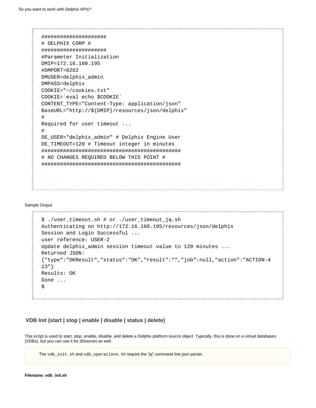```
#####################
# DELPHIX CORP #
#####################
#Parameter Initialization 
DMIP=172.16.160.195 
#DMPORT=8282
DMUSER=delphix_admin 
DMPASS=delphix 
COOKIE="~/cookies.txt"
COOKIE=`eval echo $COOKIE`
CONTENT_TYPE="Content-Type: application/json"
BaseURL="http://${DMIP}/resources/json/delphix"
#
Required for user timeout ...
#
DE_USER="delphix_admin" # Delphix Engine User
DE TIMEOUT=120 # Timeout integer in minutes
#############################################
# NO CHANGES REQUIRED BELOW THIS POINT #
#############################################
```
#### Sample Output

```
$ ./user_timeout.sh # or ./user_timeout_jq.sh
Authenticating on http://172.16.160.195/resources/json/delphix
Session and Login Successful ...
user reference: USER-2 
Update delphix_admin session timeout value to 120 minutes ...
Returned JSON:
{"type":"OKResult","status":"OK","result":"","job":null,"action":"ACTION-4
23"}
Results: OK 
Done ... 
$
```
## <span id="page-44-0"></span>**VDB Init (start | stop | enable | disable | status | delete)**

This script is used to start, stop, enable, disable, and delete a Delphix platform source object. Typically, this is done on a virtual databases (VDBs), but you can use it for dSources as well.

The vdb\_init.sh and vdb\_operations.sh require the "jq" command line json parser.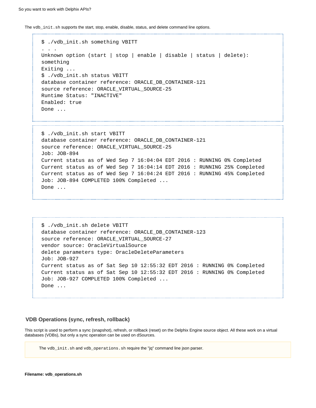The vdb\_init.sh supports the start, stop, enable, disable, status, and delete command line options.

```
$ ./vdb_init.sh something VBITT
. . . 
Unknown option (start | stop | enable | disable | status | delete):
something
Exiting ... 
$ ./vdb_init.sh status VBITT
database container reference: ORACLE_DB_CONTAINER-121
source reference: ORACLE_VIRTUAL_SOURCE-25
Runtime Status: "INACTIVE"
Enabled: true
Done ... 
$ ./vdb_init.sh start VBITT
database container reference: ORACLE_DB_CONTAINER-121
source reference: ORACLE_VIRTUAL_SOURCE-25
Job: JOB-894
Current status as of Wed Sep 7 16:04:04 EDT 2016 : RUNNING 0% Completed
Current status as of Wed Sep 7 16:04:14 EDT 2016 : RUNNING 25% Completed
Current status as of Wed Sep 7 16:04:24 EDT 2016 : RUNNING 45% Completed
Job: JOB-894 COMPLETED 100% Completed ...
Done ...
```

```
$ ./vdb_init.sh delete VBITT
database container reference: ORACLE_DB_CONTAINER-123
source reference: ORACLE VIRTUAL SOURCE-27
vendor source: OracleVirtualSource
delete parameters type: OracleDeleteParameters
Job: JOB-927
Current status as of Sat Sep 10 12:55:32 EDT 2016 : RUNNING 0% Completed
Current status as of Sat Sep 10 12:55:32 EDT 2016 : RUNNING 0% Completed
Job: JOB-927 COMPLETED 100% Completed ...
Done ...
```
### <span id="page-45-0"></span>**VDB Operations (sync, refresh, rollback)**

This script is used to perform a sync (snapshot), refresh, or rollback (reset) on the Delphix Engine source object. All these work on a virtual databases (VDBs), but only a sync operation can be used on dSources.

The vdb\_init.sh and vdb\_operations.sh require the "jq" command line json parser.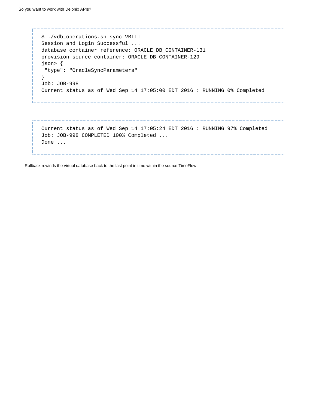```
$ ./vdb_operations.sh sync VBITT
 Session and Login Successful ...
 database container reference: ORACLE_DB_CONTAINER-131
 provision source container: ORACLE_DB_CONTAINER-129
 json> {
  "type": "OracleSyncParameters"
 }
 Job: JOB-998
 Current status as of Wed Sep 14 17:05:00 EDT 2016 : RUNNING 0% Completed
```
Current status as of Wed Sep 14 17:05:24 EDT 2016 : RUNNING 97% Completed Job: JOB-998 COMPLETED 100% Completed ... Done ...

Rollback rewinds the virtual database back to the last point in time within the source TimeFlow.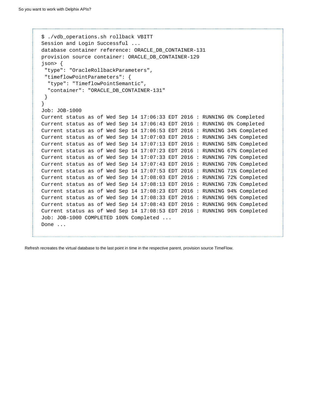```
$ ./vdb_operations.sh rollback VBITT
Session and Login Successful ...
database container reference: ORACLE_DB_CONTAINER-131
provision source container: ORACLE_DB_CONTAINER-129
json> {
  "type": "OracleRollbackParameters",
  "timeflowPointParameters": {
   "type": "TimeflowPointSemantic",
   "container": "ORACLE_DB_CONTAINER-131"
  }
}
Job: JOB-1000
Current status as of Wed Sep 14 17:06:33 EDT 2016 : RUNNING 0% Completed
Current status as of Wed Sep 14 17:06:43 EDT 2016 : RUNNING 0% Completed
Current status as of Wed Sep 14 17:06:53 EDT 2016 : RUNNING 34% Completed
Current status as of Wed Sep 14 17:07:03 EDT 2016 : RUNNING 34% Completed
Current status as of Wed Sep 14 17:07:13 EDT 2016 : RUNNING 58% Completed
Current status as of Wed Sep 14 17:07:23 EDT 2016 : RUNNING 67% Completed
Current status as of Wed Sep 14 17:07:33 EDT 2016 : RUNNING 70% Completed
Current status as of Wed Sep 14 17:07:43 EDT 2016 : RUNNING 70% Completed
Current status as of Wed Sep 14 17:07:53 EDT 2016 : RUNNING 71% Completed
Current status as of Wed Sep 14 17:08:03 EDT 2016 : RUNNING 72% Completed
Current status as of Wed Sep 14 17:08:13 EDT 2016 : RUNNING 73% Completed
Current status as of Wed Sep 14 17:08:23 EDT 2016 : RUNNING 94% Completed
Current status as of Wed Sep 14 17:08:33 EDT 2016 : RUNNING 96% Completed
Current status as of Wed Sep 14 17:08:43 EDT 2016 : RUNNING 96% Completed
Current status as of Wed Sep 14 17:08:53 EDT 2016 : RUNNING 96% Completed
Job: JOB-1000 COMPLETED 100% Completed ...
Done ...
```
Refresh recreates the virtual database to the last point in time in the respective parent, provision source TimeFlow.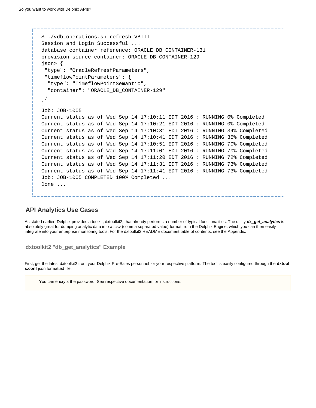```
$ ./vdb_operations.sh refresh VBITT
Session and Login Successful ...
database container reference: ORACLE_DB_CONTAINER-131
provision source container: ORACLE_DB_CONTAINER-129
json> {
  "type": "OracleRefreshParameters",
  "timeflowPointParameters": {
   "type": "TimeflowPointSemantic",
   "container": "ORACLE_DB_CONTAINER-129"
  }
}
Job: JOB-1005
Current status as of Wed Sep 14 17:10:11 EDT 2016 : RUNNING 0% Completed
Current status as of Wed Sep 14 17:10:21 EDT 2016 : RUNNING 0% Completed
Current status as of Wed Sep 14 17:10:31 EDT 2016 : RUNNING 34% Completed
Current status as of Wed Sep 14 17:10:41 EDT 2016 : RUNNING 35% Completed
Current status as of Wed Sep 14 17:10:51 EDT 2016 : RUNNING 70% Completed
Current status as of Wed Sep 14 17:11:01 EDT 2016 : RUNNING 70% Completed
Current status as of Wed Sep 14 17:11:20 EDT 2016 : RUNNING 72% Completed
Current status as of Wed Sep 14 17:11:31 EDT 2016 : RUNNING 73% Completed
Current status as of Wed Sep 14 17:11:41 EDT 2016 : RUNNING 73% Completed
Job: JOB-1005 COMPLETED 100% Completed ...
Done ...
```
# **API Analytics Use Cases**

As stated earlier, Delphix provides a toolkit, dxtoolkit2, that already performs a number of typical functionalities. The utility **dx\_get\_analytics** is absolutely great for dumping analytic data into a .csv (comma separated value) format from the Delphix Engine, which you can then easily integrate into your enterprise monitoring tools. For the dxtoolkit2 README document table of contents, see the Appendix.

```
dxtoolkit2 "db_get_analytics" Example
```
First, get the latest dxtoolkit2 from your Delphix Pre-Sales personnel for your respective platform. The tool is easily configured through the **dxtool s.conf** json formatted file.

You can encrypt the password. See respective documentation for instructions.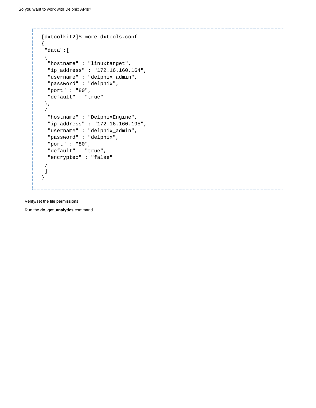```
[dxtoolkit2]$ more dxtools.conf
{
  "data":[
  {
  "hostname" : "linuxtarget",
  "ip_address" : "172.16.160.164",
  "username" : "delphix_admin",
   "password" : "delphix",
  "port" : "80",
   "default" : "true"
 },
  {
   "hostname" : "DelphixEngine",
  "ip_address" : "172.16.160.195",
   "username" : "delphix_admin",
  "password" : "delphix",
   "port" : "80",
  "default" : "true",
   "encrypted" : "false"
 }
 ]
}
```
Verify/set the file permissions.

Run the **dx\_get\_analytics** command.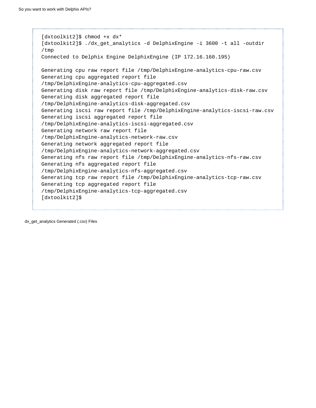```
[dxtoolkit2]$ chmod +x dx*
[dxtoolkit2]$ ./dx_get_analytics -d DelphixEngine -i 3600 -t all -outdir
/tmp
Connected to Delphix Engine DelphixEngine (IP 172.16.160.195)
Generating cpu raw report file /tmp/DelphixEngine-analytics-cpu-raw.csv
Generating cpu aggregated report file
/tmp/DelphixEngine-analytics-cpu-aggregated.csv
Generating disk raw report file /tmp/DelphixEngine-analytics-disk-raw.csv
Generating disk aggregated report file
/tmp/DelphixEngine-analytics-disk-aggregated.csv
Generating iscsi raw report file /tmp/DelphixEngine-analytics-iscsi-raw.csv
Generating iscsi aggregated report file
/tmp/DelphixEngine-analytics-iscsi-aggregated.csv
Generating network raw report file
/tmp/DelphixEngine-analytics-network-raw.csv
Generating network aggregated report file
/tmp/DelphixEngine-analytics-network-aggregated.csv
Generating nfs raw report file /tmp/DelphixEngine-analytics-nfs-raw.csv
Generating nfs aggregated report file
/tmp/DelphixEngine-analytics-nfs-aggregated.csv
Generating tcp raw report file /tmp/DelphixEngine-analytics-tcp-raw.csv
Generating tcp aggregated report file
/tmp/DelphixEngine-analytics-tcp-aggregated.csv
[dxtoolkit2]$
```
dx\_get\_analytics Generated (.csv) Files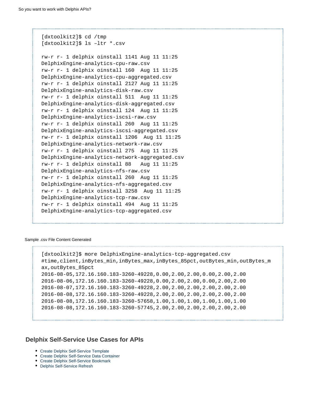[dxtoolkit2]\$ cd /tmp [dxtoolkit2]\$ ls –ltr \*.csv rw-r r- 1 delphix oinstall 1141 Aug 11 11:25 DelphixEngine-analytics-cpu-raw.csv rw-r r- 1 delphix oinstall 160 Aug 11 11:25 DelphixEngine-analytics-cpu-aggregated.csv rw-r r- 1 delphix oinstall 2127 Aug 11 11:25 DelphixEngine-analytics-disk-raw.csv rw-r r- 1 delphix oinstall 511 Aug 11 11:25 DelphixEngine-analytics-disk-aggregated.csv rw-r r- 1 delphix oinstall 124 Aug 11 11:25 DelphixEngine-analytics-iscsi-raw.csv rw-r r- 1 delphix oinstall 260 Aug 11 11:25 DelphixEngine-analytics-iscsi-aggregated.csv rw-r r- 1 delphix oinstall 1206 Aug 11 11:25 DelphixEngine-analytics-network-raw.csv rw-r r- 1 delphix oinstall 275 Aug 11 11:25 DelphixEngine-analytics-network-aggregated.csv rw-r r- 1 delphix oinstall 88 Aug 11 11:25 DelphixEngine-analytics-nfs-raw.csv rw-r r- 1 delphix oinstall 260 Aug 11 11:25 DelphixEngine-analytics-nfs-aggregated.csv rw-r r- 1 delphix oinstall 3258 Aug 11 11:25 DelphixEngine-analytics-tcp-raw.csv rw-r r- 1 delphix oinstall 494 Aug 11 11:25 DelphixEngine-analytics-tcp-aggregated.csv

#### Sample .csv File Content Generated

```
[dxtoolkit2]$ more DelphixEngine-analytics-tcp-aggregated.csv
#time,client,inBytes_min,inBytes_max,inBytes_85pct,outBytes_min,outBytes_m
ax,outBytes_85pct
2016-08-05,172.16.160.183-3260-49228,0.00,2.00,2.00,0.00,2.00,2.00
2016-08-06,172.16.160.183-3260-49228,0.00,2.00,2.00,0.00,2.00,2.00
2016-08-07,172.16.160.183-3260-49228,2.00,2.00,2.00,2.00,2.00,2.00
2016-08-08,172.16.160.183-3260-49228,2.00,2.00,2.00,2.00,2.00,2.00
2016-08-08,172.16.160.183-3260-57658,1.00,1.00,1.00,1.00,1.00,1.00
2016-08-08,172.16.160.183-3260-57745,2.00,2.00,2.00,2.00,2.00,2.00
```
## **Delphix Self-Service Use Cases for APIs**

- [Create Delphix Self-Service Template](#page-51-0)
- [Create Delphix Self-Service Data Container](#page-52-0)
- [Create Delphix Self-Service Bookmark](#page-53-0)
- <span id="page-51-0"></span>[Delphix Self-Service Refresh](#page-55-0)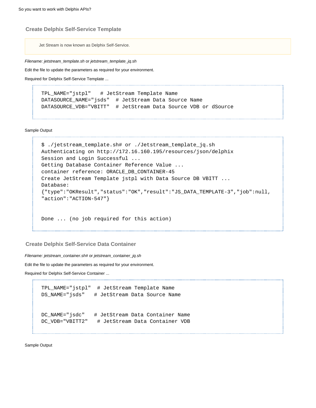### **Create Delphix Self-Service Template**

Jet Stream is now known as Delphix Self-Service.

Filename: jetstream\_template.sh or jetstream\_template\_jq.sh

Edit the file to update the parameters as required for your environment.

Required for Delphix Self-Service Template ...

TPL\_NAME="jstpl" # JetStream Template Name DATASOURCE NAME="jsds" # JetStream Data Source Name DATASOURCE\_VDB="VBITT" # JetStream Data Source VDB or dSource

Sample Output

```
$ ./jetstream_template.sh# or ./Jetstream_template_jq.sh
Authenticating on http://172.16.160.195/resources/json/delphix
Session and Login Successful ...
Getting Database Container Reference Value ...
container reference: ORACLE_DB_CONTAINER-45
Create JetStream Template jstpl with Data Source DB VBITT ...
Database:
{"type":"OKResult","status":"OK","result":"JS_DATA_TEMPLATE-3","job":null,
"action":"ACTION-547"} 
Done ... (no job required for this action)
```
<span id="page-52-0"></span>**Create Delphix Self-Service Data Container**

Filename: jetstream\_container.sh# or jetstream\_container\_jq.sh

Edit the file to update the parameters as required for your environment.

Required for Delphix Self-Service Container ...

```
TPL_NAME="jstpl" # JetStream Template Name
DS_NAME="jsds" # JetStream Data Source Name 
DC_NAME="jsdc" # JetStream Data Container Name
DC VDB="VBITT2" # JetStream Data Container VDB
```
Sample Output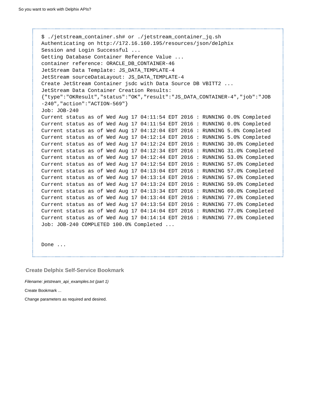```
$ ./jetstream_container.sh# or ./jetstream_container_jq.sh
Authenticating on http://172.16.160.195/resources/json/delphix
Session and Login Successful ...
Getting Database Container Reference Value ...
container reference: ORACLE_DB_CONTAINER-46 
JetStream Data Template: JS_DATA_TEMPLATE-4 
JetStream sourceDataLayout: JS_DATA_TEMPLATE-4 
Create JetStream Container jsdc with Data Source DB VBITT2 ...
JetStream Data Container Creation Results:
{"type":"OKResult","status":"OK","result":"JS_DATA_CONTAINER-4","job":"JOB
-240","action":"ACTION-569"}
Job: JOB-240
Current status as of Wed Aug 17 04:11:54 EDT 2016 : RUNNING 0.0% Completed
Current status as of Wed Aug 17 04:11:54 EDT 2016 : RUNNING 0.0% Completed
Current status as of Wed Aug 17 04:12:04 EDT 2016 : RUNNING 5.0% Completed
Current status as of Wed Aug 17 04:12:14 EDT 2016 : RUNNING 5.0% Completed
Current status as of Wed Aug 17 04:12:24 EDT 2016 : RUNNING 30.0% Completed
Current status as of Wed Aug 17 04:12:34 EDT 2016 : RUNNING 31.0% Completed
Current status as of Wed Aug 17 04:12:44 EDT 2016 : RUNNING 53.0% Completed
Current status as of Wed Aug 17 04:12:54 EDT 2016 : RUNNING 57.0% Completed
Current status as of Wed Aug 17 04:13:04 EDT 2016 : RUNNING 57.0% Completed
Current status as of Wed Aug 17 04:13:14 EDT 2016 : RUNNING 57.0% Completed
Current status as of Wed Aug 17 04:13:24 EDT 2016 : RUNNING 59.0% Completed
Current status as of Wed Aug 17 04:13:34 EDT 2016 : RUNNING 60.0% Completed
Current status as of Wed Aug 17 04:13:44 EDT 2016 : RUNNING 77.0% Completed
Current status as of Wed Aug 17 04:13:54 EDT 2016 : RUNNING 77.0% Completed
Current status as of Wed Aug 17 04:14:04 EDT 2016 : RUNNING 77.0% Completed
Current status as of Wed Aug 17 04:14:14 EDT 2016 : RUNNING 77.0% Completed
Job: JOB-240 COMPLETED 100.0% Completed ...
```
Done ...

<span id="page-53-0"></span>**Create Delphix Self-Service Bookmark**

Filename: jetstream\_api\_examples.txt (part 1)

Create Bookmark ...

Change parameters as required and desired.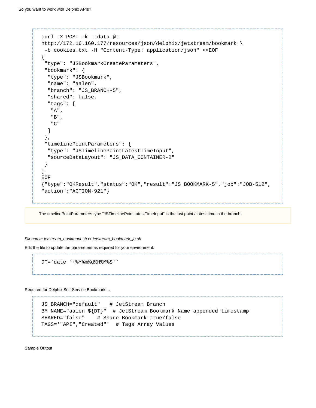```
curl -X POST -k --data @-
http://172.16.160.177/resources/json/delphix/jetstream/bookmark \
 -b cookies.txt -H "Content-Type: application/json" <<EOF
{
  "type": "JSBookmarkCreateParameters",
  "bookmark": {
   "type": "JSBookmark",
   "name": "aalen",
   "branch": "JS_BRANCH-5",
   "shared": false,
   "tags": [
    "A",
    "B",
   "C"
   ]
  },
  "timelinePointParameters": {
  "type": "JSTimelinePointLatestTimeInput",
  "sourceDataLayout": "JS_DATA_CONTAINER-2"
 }
}
EOF
{"type":"OKResult","status":"OK","result":"JS_BOOKMARK-5","job":"JOB-512",
"action":"ACTION-921"}
```
The timelinePointParameters type "JSTimelinePointLatestTimeInput" is the last point / latest time in the branch!

Filename: jetstream\_bookmark.sh or jetstream\_bookmark\_jq.sh

Edit the file to update the parameters as required for your environment.

DT=`date '+%Y%m%d%H%M%S'`

Required for Delphix Self-Service Bookmark ...

\_\_\_\_\_\_\_\_\_\_\_\_\_\_\_\_\_\_\_\_\_\_\_\_\_\_\_\_\_\_\_\_\_\_

```
JS BRANCH="default" # JetStream Branch
BM_NAME="aalen_${DT}" # JetStream Bookmark Name appended timestamp
SHARED="false" # Share Bookmark true/false
TAGS='"API","Created"' # Tags Array Values
```
Sample Output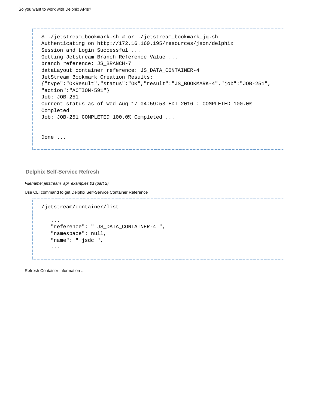\$ ./jetstream\_bookmark.sh # or ./jetstream\_bookmark\_jq.sh Authenticating on http://172.16.160.195/resources/json/delphix Session and Login Successful ... Getting Jetstream Branch Reference Value ... branch reference: JS\_BRANCH-7 dataLayout container reference: JS\_DATA\_CONTAINER-4 JetStream Bookmark Creation Results: {"type":"OKResult","status":"OK","result":"JS\_BOOKMARK-4","job":"JOB-251", "action":"ACTION-591"} Job: JOB-251 Current status as of Wed Aug 17 04:59:53 EDT 2016 : COMPLETED 100.0% Completed Job: JOB-251 COMPLETED 100.0% Completed ... Done ...

### <span id="page-55-0"></span>**Delphix Self-Service Refresh**

Filename: jetstream\_api\_examples.txt (part 2)

Use CLI command to get Delphix Self-Service Container Reference

```
/jetstream/container/list 
    ...
    "reference": " JS_DATA_CONTAINER-4 ",
    "namespace": null,
    "name": " jsdc ",
    ...
```
Refresh Container Information ...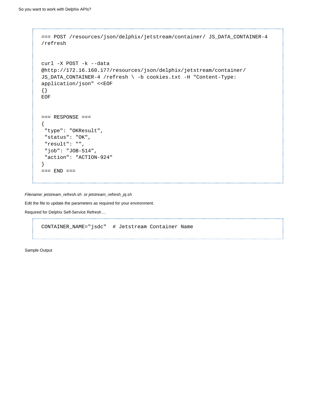```
=== POST /resources/json/delphix/jetstream/container/ JS_DATA_CONTAINER-4
/refresh 
curl -X POST -k --data
@http://172.16.160.177/resources/json/delphix/jetstream/container/
JS_DATA_CONTAINER-4 /refresh \ -b cookies.txt -H "Content-Type:
application/json" <<EOF
{}
EOF 
== RESPONSE =={
  "type": "OKResult",
  "status": "OK",
  "result": "",
  "job": "JOB-514",
  "action": "ACTION-924"
}
== END ==
```
Filename: jetstream\_refresh.sh or jetstream\_refresh\_jq.sh

Edit the file to update the parameters as required for your environment.

Required for Delphix Self-Service Refresh ...

```
CONTAINER_NAME="jsdc" # Jetstream Container Name
```
Sample Output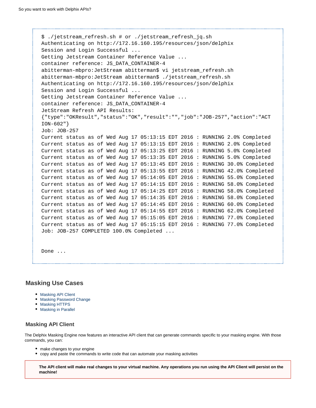```
$ ./jetstream_refresh.sh # or ./jetstream_refresh_jq.sh
Authenticating on http://172.16.160.195/resources/json/delphix
Session and Login Successful ...
Getting Jetstream Container Reference Value ...
container reference: JS_DATA_CONTAINER-4 
abitterman-mbpro:JetStream abitterman$ vi jetstream_refresh.sh
abitterman-mbpro:JetStream abitterman$ ./jetstream_refresh.sh
Authenticating on http://172.16.160.195/resources/json/delphix
Session and Login Successful ...
Getting Jetstream Container Reference Value ...
container reference: JS_DATA_CONTAINER-4
JetStream Refresh API Results:
{"type":"OKResult","status":"OK","result":"","job":"JOB-257","action":"ACT
ION-602"}
Job: JOB-257
Current status as of Wed Aug 17 05:13:15 EDT 2016 : RUNNING 2.0% Completed
Current status as of Wed Aug 17 05:13:15 EDT 2016 : RUNNING 2.0% Completed
Current status as of Wed Aug 17 05:13:25 EDT 2016 : RUNNING 5.0% Completed
Current status as of Wed Aug 17 05:13:35 EDT 2016 : RUNNING 5.0% Completed
Current status as of Wed Aug 17 05:13:45 EDT 2016 : RUNNING 30.0% Completed
Current status as of Wed Aug 17 05:13:55 EDT 2016 : RUNNING 42.0% Completed
Current status as of Wed Aug 17 05:14:05 EDT 2016 : RUNNING 55.0% Completed
Current status as of Wed Aug 17 05:14:15 EDT 2016 : RUNNING 58.0% Completed
Current status as of Wed Aug 17 05:14:25 EDT 2016 : RUNNING 58.0% Completed
Current status as of Wed Aug 17 05:14:35 EDT 2016 : RUNNING 58.0% Completed
Current status as of Wed Aug 17 05:14:45 EDT 2016 : RUNNING 60.0% Completed
Current status as of Wed Aug 17 05:14:55 EDT 2016 : RUNNING 62.0% Completed
Current status as of Wed Aug 17 05:15:05 EDT 2016 : RUNNING 77.0% Completed
Current status as of Wed Aug 17 05:15:15 EDT 2016 : RUNNING 77.0% Completed
Job: JOB-257 COMPLETED 100.0% Completed ...
```
Done ...

## **Masking Use Cases**

- [Masking API Client](#page-57-0)
- [Masking Password Change](#page-58-0)
- [Masking HTTPS](#page-58-1)
- [Masking in Parallel](#page-58-2)

### <span id="page-57-0"></span>**Masking API Client**

The Delphix Masking Engine now features an interactive API client that can generate commands specific to your masking engine. With those commands, you can:

- make changes to your engine
- copy and paste the commands to write code that can automate your masking activities

**The API client will make real changes to your virtual machine. Any operations you run using the API Client will persist on the machine!**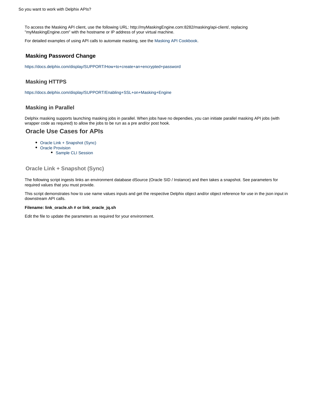To access the Masking API client, use the following URL: http://myMaskingEngine.com:8282/masking/api-client/, replacing "myMaskingEngine.com" with the hostname or IP address of your virtual machine.

For detailed examples of using API calls to automate masking, see the [Masking API Cookbook.](https://docs.delphix.com/pages/createpage.action?spaceKey=DOCS53&title=Masking+API+Cookbook&linkCreation=true&fromPageId=95559410)

## <span id="page-58-0"></span>**Masking Password Change**

<https://docs.delphix.com/display/SUPPORT/How+to+create+an+encrypted+password>

## <span id="page-58-1"></span>**Masking HTTPS**

<https://docs.delphix.com/display/SUPPORT/Enabling+SSL+on+Masking+Engine>

## <span id="page-58-2"></span>**Masking in Parallel**

Delphix masking supports launching masking jobs in parallel. When jobs have no dependies, you can initiate parallel masking API jobs (with wrapper code as required) to allow the jobs to be run as a pre and/or post hook.

## **Oracle Use Cases for APIs**

- [Oracle Link + Snapshot \(Sync\)](#page-58-3)
- [Oracle Provision](#page-60-0)
	- [Sample CLI Session](#page-61-0)

### <span id="page-58-3"></span>**Oracle Link + Snapshot (Sync)**

The following script ingests links an environment database dSource (Oracle SID / Instance) and then takes a snapshot. See parameters for required values that you must provide.

This script demonstrates how to use name values inputs and get the respective Delphix object and/or object reference for use in the json input in downstream API calls.

#### **Filename: link\_oracle.sh # or link\_oracle\_jq.sh**

Edit the file to update the parameters as required for your environment.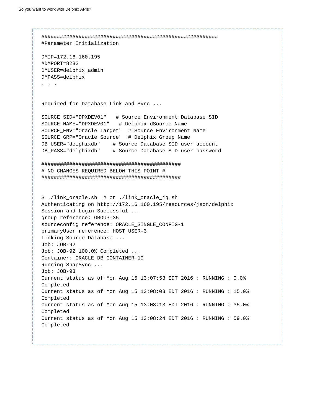######################################################### #Parameter Initialization DMIP=172.16.160.195 #DMPORT=8282 DMUSER=delphix\_admin DMPASS=delphix . . . Required for Database Link and Sync ... SOURCE\_SID="DPXDEV01" # Source Environment Database SID SOURCE\_NAME="DPXDEV01" # Delphix dSource Name SOURCE\_ENV="Oracle Target" # Source Environment Name SOURCE\_GRP="Oracle\_Source" # Delphix Group Name DB USER="delphixdb" # Source Database SID user account DB\_PASS="delphixdb" # Source Database SID user password ############################################# # NO CHANGES REQUIRED BELOW THIS POINT # ############################################# \$ ./link\_oracle.sh # or ./link\_oracle\_jq.sh Authenticating on http://172.16.160.195/resources/json/delphix Session and Login Successful ... group reference: GROUP-35 sourceconfig reference: ORACLE\_SINGLE\_CONFIG-1 primaryUser reference: HOST\_USER-3 Linking Source Database ... Job: JOB-92 Job: JOB-92 100.0% Completed ... Container: ORACLE\_DB\_CONTAINER-19 Running SnapSync ... Job: JOB-93 Current status as of Mon Aug 15 13:07:53 EDT 2016 : RUNNING : 0.0% Completed Current status as of Mon Aug 15 13:08:03 EDT 2016 : RUNNING : 15.0% Completed Current status as of Mon Aug 15 13:08:13 EDT 2016 : RUNNING : 35.0% Completed Current status as of Mon Aug 15 13:08:24 EDT 2016 : RUNNING : 59.0% Completed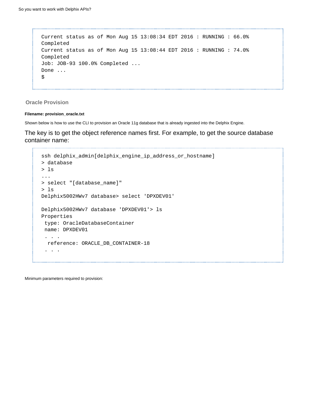```
Current status as of Mon Aug 15 13:08:34 EDT 2016 : RUNNING : 66.0%
Completed
Current status as of Mon Aug 15 13:08:44 EDT 2016 : RUNNING : 74.0%
Completed
Job: JOB-93 100.0% Completed ... 
Done ... 
$
```
<span id="page-60-0"></span>**Oracle Provision**

#### **Filename: provision\_oracle.txt**

Shown below is how to use the CLI to provision an Oracle 11g database that is already ingested into the Delphix Engine.

The key is to get the object reference names first. For example, to get the source database container name:

```
ssh delphix_admin[delphix_engine_ip_address_or_hostname]
> database
> ls
...
> select "[database_name]"
> ls
Delphix5002HWv7 database> select 'DPXDEV01'
Delphix5002HWv7 database 'DPXDEV01'> ls
Properties
  type: OracleDatabaseContainer
 name: DPXDEV01
  . . .
  reference: ORACLE_DB_CONTAINER-18 
  . . .
```
Minimum parameters required to provision: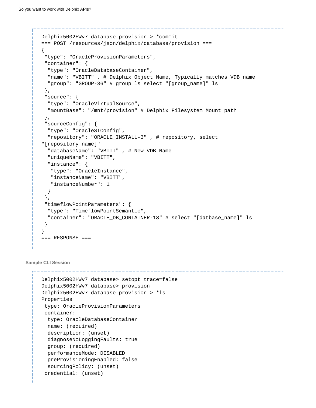```
Delphix5002HWv7 database provision > *commit
=== POST /resources/json/delphix/database/provision ===
{
  "type": "OracleProvisionParameters",
  "container": {
   "type": "OracleDatabaseContainer",
  "name": "VBITT" , # Delphix Object Name, Typically matches VDB name 
   "group": "GROUP-36" # group ls select "[group_name]" ls 
  },
  "source": {
  "type": "OracleVirtualSource", 
   "mountBase": "/mnt/provision" # Delphix Filesystem Mount path 
  },
  "sourceConfig": {
   "type": "OracleSIConfig", 
   "repository": "ORACLE_INSTALL-3" , # repository, select
"[repository_name]" 
   "databaseName": "VBITT" , # New VDB Name 
   "uniqueName": "VBITT", 
   "instance": {
    "type": "OracleInstance",
   "instanceName": "VBITT",
   "instanceNumber": 1
  }
  },
  "timeflowPointParameters": {
  "type": "TimeflowPointSemantic",
   "container": "ORACLE_DB_CONTAINER-18" # select "[datbase_name]" ls 
 }
}
== RESPONSE ==
```
<span id="page-61-0"></span>**Sample CLI Session**

```
Delphix5002HWv7 database> setopt trace=false 
Delphix5002HWv7 database> provision 
Delphix5002HWv7 database provision > *ls 
Properties
 type: OracleProvisionParameters
 container:
  type: OracleDatabaseContainer
  name: (required)
  description: (unset)
  diagnoseNoLoggingFaults: true
  group: (required)
   performanceMode: DISABLED
  preProvisioningEnabled: false
   sourcingPolicy: (unset)
  credential: (unset)
```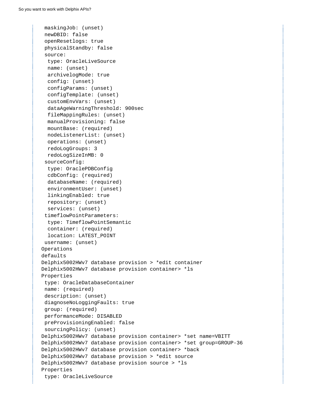```
 maskingJob: (unset)
  newDBID: false
  openResetlogs: true
 physicalStandby: false
  source:
  type: OracleLiveSource
  name: (unset)
  archivelogMode: true
   config: (unset)
   configParams: (unset)
   configTemplate: (unset)
   customEnvVars: (unset)
   dataAgeWarningThreshold: 900sec
   fileMappingRules: (unset)
   manualProvisioning: false
  mountBase: (required)
  nodeListenerList: (unset)
  operations: (unset)
  redoLogGroups: 3
  redoLogSizeInMB: 0
  sourceConfig:
   type: OraclePDBConfig
   cdbConfig: (required)
  databaseName: (required)
   environmentUser: (unset)
   linkingEnabled: true
  repository: (unset)
   services: (unset)
  timeflowPointParameters:
   type: TimeflowPointSemantic
   container: (required)
   location: LATEST_POINT
 username: (unset) 
Operations
defaults
Delphix5002HWv7 database provision > *edit container 
Delphix5002HWv7 database provision container> *ls 
Properties
 type: OracleDatabaseContainer
 name: (required)
 description: (unset)
 diagnoseNoLoggingFaults: true
 group: (required)
 performanceMode: DISABLED
 preProvisioningEnabled: false
 sourcingPolicy: (unset)
Delphix5002HWv7 database provision container> *set name=VBITT 
Delphix5002HWv7 database provision container> *set group=GROUP-36 
Delphix5002HWv7 database provision container> *back 
Delphix5002HWv7 database provision > *edit source 
Delphix5002HWv7 database provision source > *ls 
Properties
 type: OracleLiveSource
```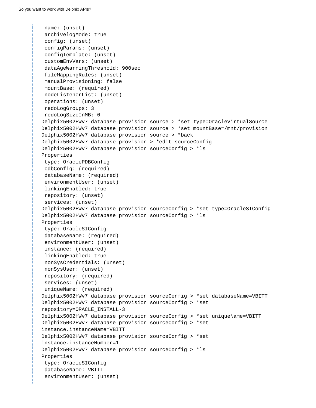```
 name: (unset)
  archivelogMode: true
  config: (unset)
 configParams: (unset)
 configTemplate: (unset)
  customEnvVars: (unset)
  dataAgeWarningThreshold: 900sec
  fileMappingRules: (unset)
 manualProvisioning: false
 mountBase: (required)
 nodeListenerList: (unset)
  operations: (unset)
 redoLogGroups: 3
 redoLogSizeInMB: 0
Delphix5002HWv7 database provision source > *set type=OracleVirtualSource 
Delphix5002HWv7 database provision source > *set mountBase=/mnt/provision 
Delphix5002HWv7 database provision source > *back 
Delphix5002HWv7 database provision > *edit sourceConfig 
Delphix5002HWv7 database provision sourceConfig > *ls 
Properties
 type: OraclePDBConfig
 cdbConfig: (required)
 databaseName: (required)
  environmentUser: (unset)
  linkingEnabled: true
 repository: (unset)
  services: (unset)
Delphix5002HWv7 database provision sourceConfig > *set type=OracleSIConfig 
Delphix5002HWv7 database provision sourceConfig > *ls 
Properties
 type: OracleSIConfig 
 databaseName: (required)
  environmentUser: (unset)
  instance: (required)
  linkingEnabled: true
 nonSysCredentials: (unset)
 nonSysUser: (unset)
 repository: (required)
  services: (unset)
  uniqueName: (required)
Delphix5002HWv7 database provision sourceConfig > *set databaseName=VBITT
Delphix5002HWv7 database provision sourceConfig > *set
repository=ORACLE_INSTALL-3 
Delphix5002HWv7 database provision sourceConfig > *set uniqueName=VBITT 
Delphix5002HWv7 database provision sourceConfig > *set
instance.instanceName=VBITT 
Delphix5002HWv7 database provision sourceConfig > *set
instance.instanceNumber=1 
Delphix5002HWv7 database provision sourceConfig > *ls 
Properties
 type: OracleSIConfig 
 databaseName: VBITT 
  environmentUser: (unset)
```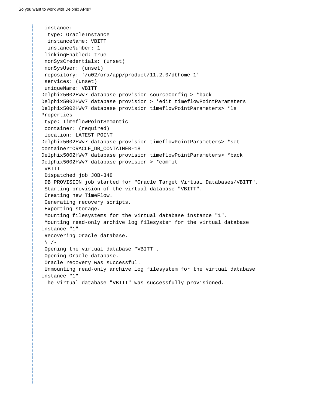```
 instance:
   type: OracleInstance 
   instanceName: VBITT 
   instanceNumber: 1 
 linkingEnabled: true
 nonSysCredentials: (unset)
 nonSysUser: (unset)
 repository: '/u02/ora/app/product/11.2.0/dbhome_1' 
  services: (unset)
 uniqueName: VBITT 
Delphix5002HWv7 database provision sourceConfig > *back 
Delphix5002HWv7 database provision > *edit timeflowPointParameters 
Delphix5002HWv7 database provision timeflowPointParameters> *ls 
Properties
 type: TimeflowPointSemantic
 container: (required)
 location: LATEST_POINT
Delphix5002HWv7 database provision timeflowPointParameters> *set
container=ORACLE_DB_CONTAINER-18 
Delphix5002HWv7 database provision timeflowPointParameters> *back 
Delphix5002HWv7 database provision > *commit 
 VBITT
 Dispatched job JOB-348
DB_PROVISION job started for "Oracle Target Virtual Databases/VBITT".
  Starting provision of the virtual database "VBITT".
  Creating new TimeFlow.
 Generating recovery scripts.
  Exporting storage.
 Mounting filesystems for the virtual database instance "1".
 Mounting read-only archive log filesystem for the virtual database
instance "1".
 Recovering Oracle database.
\setminus / -
 Opening the virtual database "VBITT".
 Opening Oracle database.
 Oracle recovery was successful.
 Unmounting read-only archive log filesystem for the virtual database
instance "1".
  The virtual database "VBITT" was successfully provisioned.
```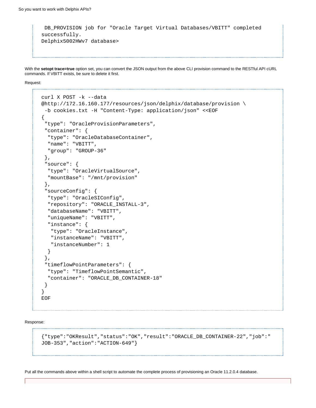```
 DB_PROVISION job for "Oracle Target Virtual Databases/VBITT" completed
successfully.
Delphix5002HWv7 database>
```
With the **setopt trace=true** option set, you can convert the JSON output from the above CLI provision command to the RESTful API cURL commands. If VBITT exists, be sure to delete it first.

Request:

```
curl X POST -k --data
@http://172.16.160.177/resources/json/delphix/database/provision \
 -b cookies.txt -H "Content-Type: application/json" <<EOF
{
  "type": "OracleProvisionParameters",
  "container": {
   "type": "OracleDatabaseContainer",
   "name": "VBITT", 
   "group": "GROUP-36" 
  },
  "source": {
   "type": "OracleVirtualSource", 
   "mountBase": "/mnt/provision"
  },
  "sourceConfig": {
   "type": "OracleSIConfig", 
   "repository": "ORACLE_INSTALL-3", 
   "databaseName": "VBITT", 
   "uniqueName": "VBITT", 
   "instance": {
    "type": "OracleInstance",
    "instanceName": "VBITT",
    "instanceNumber": 1
   }
  },
  "timeflowPointParameters": {
   "type": "TimeflowPointSemantic",
   "container": "ORACLE_DB_CONTAINER-18" 
  }
}
EOF
```
Response:

```
{"type":"OKResult","status":"OK","result":"ORACLE_DB_CONTAINER-22","job":"
JOB-353","action":"ACTION-649"}
```
Put all the commands above within a shell script to automate the complete process of provisioning an Oracle 11.2.0.4 database.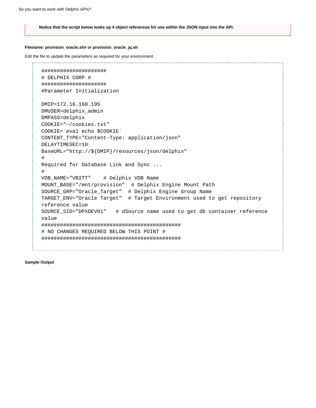**Notice that the script below looks up 4 object references for use within the JSON input into the API.** 

#### **Filename: provision\_oracle.sh# or provision\_oracle\_jq.sh**

Edit the file to update the parameters as required for your environment.

```
#####################
# DELPHIX CORP #
#####################
#Parameter Initialization 
DMIP=172.16.160.195
DMUSER=delphix_admin
DMPASS=delphix
COOKIE="~/cookies.txt"
COOKIE=`eval echo $COOKIE`
CONTENT_TYPE="Content-Type: application/json"
DELAYTIMESEC=10
BaseURL="http://${DMIP}/resources/json/delphix"
#
Required for Database Link and Sync ...
#
VDB_NAME="VBITT" # Delphix VDB Name
MOUNT_BASE="/mnt/provision" # Delphix Engine Mount Path
SOURCE_GRP="Oracle_Target" # Delphix Engine Group Name
TARGET_ENV="Oracle Target" # Target Environment used to get repository
reference value
SOURCE_SID="DPXDEV01" # dSource name used to get db container reference
value 
#############################################
# NO CHANGES REQUIRED BELOW THIS POINT #
#############################################
```
**Sample Output**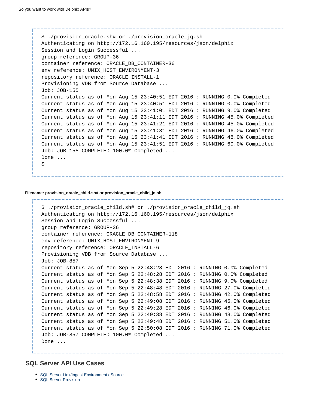\$ ./provision\_oracle.sh# or ./provision\_oracle\_jq.sh Authenticating on http://172.16.160.195/resources/json/delphix Session and Login Successful ... group reference: GROUP-36 container reference: ORACLE\_DB\_CONTAINER-36 env reference: UNIX\_HOST\_ENVIRONMENT-3 repository reference: ORACLE\_INSTALL-1 Provisioning VDB from Source Database ... Job: JOB-155 Current status as of Mon Aug 15 23:40:51 EDT 2016 : RUNNING 0.0% Completed Current status as of Mon Aug 15 23:40:51 EDT 2016 : RUNNING 0.0% Completed Current status as of Mon Aug 15 23:41:01 EDT 2016 : RUNNING 9.0% Completed Current status as of Mon Aug 15 23:41:11 EDT 2016 : RUNNING 45.0% Completed Current status as of Mon Aug 15 23:41:21 EDT 2016 : RUNNING 45.0% Completed Current status as of Mon Aug 15 23:41:31 EDT 2016 : RUNNING 46.0% Completed Current status as of Mon Aug 15 23:41:41 EDT 2016 : RUNNING 48.0% Completed Current status as of Mon Aug 15 23:41:51 EDT 2016 : RUNNING 60.0% Completed Job: JOB-155 COMPLETED 100.0% Completed ... Done ... \$

#### **Filename: provision\_oracle\_child.sh# or provision\_oracle\_child\_jq.sh**

```
$ ./provision_oracle_child.sh# or ./provision_oracle_child_jq.sh
Authenticating on http://172.16.160.195/resources/json/delphix
Session and Login Successful ...
group reference: GROUP-36 
container reference: ORACLE_DB_CONTAINER-118 
env reference: UNIX_HOST_ENVIRONMENT-9 
repository reference: ORACLE_INSTALL-6 
Provisioning VDB from Source Database ...
Job: JOB-857
Current status as of Mon Sep 5 22:48:28 EDT 2016 : RUNNING 0.0% Completed
Current status as of Mon Sep 5 22:48:28 EDT 2016 : RUNNING 0.0% Completed
Current status as of Mon Sep 5 22:48:38 EDT 2016 : RUNNING 9.0% Completed
Current status as of Mon Sep 5 22:48:48 EDT 2016 : RUNNING 27.0% Completed
Current status as of Mon Sep 5 22:48:58 EDT 2016 : RUNNING 42.0% Completed
Current status as of Mon Sep 5 22:49:08 EDT 2016 : RUNNING 45.0% Completed
Current status as of Mon Sep 5 22:49:28 EDT 2016 : RUNNING 46.0% Completed
Current status as of Mon Sep 5 22:49:38 EDT 2016 : RUNNING 48.0% Completed
Current status as of Mon Sep 5 22:49:48 EDT 2016 : RUNNING 51.0% Completed
Current status as of Mon Sep 5 22:50:08 EDT 2016 : RUNNING 71.0% Completed
Job: JOB-857 COMPLETED 100.0% Completed ... 
Done ...
```
# **SQL Server API Use Cases**

- [SQL Server Link/Ingest Environment dSource](#page-68-0)
- [SQL Server Provision](#page-68-1)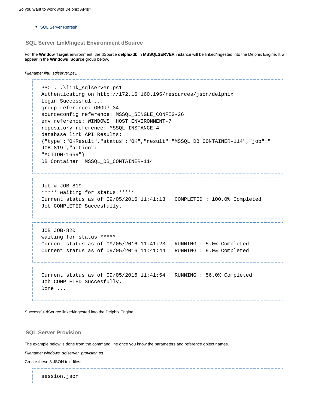• [SQL Server Refresh](#page-72-0)

### <span id="page-68-0"></span>**SQL Server Link/Ingest Environment dSource**

For the **Window Target** environment, the dSource **delphixdb** in **MSSQLSERVER** instance will be linked/ingested into the Delphix Engine. It will appear in the **Windows\_Source** group below.

```
Filename: link_sqlserver.ps1
      ---------------------------
```

```
PS> . . \link_sqlserver.ps1
Authenticating on http://172.16.160.195/resources/json/delphix
Login Successful ...
group reference: GROUP-34 
sourceconfig reference: MSSQL_SINGLE_CONFIG-26 
env reference: WINDOWS HOST ENVIRONMENT-7
repository reference: MSSQL_INSTANCE-4 
database link API Results:
{"type":"OKResult","status":"OK","result":"MSSQL_DB_CONTAINER-114","job":"
JOB-819","action":
"ACTION-1659"}
DB Container: MSSQL_DB_CONTAINER-114
```
Job # JOB-819 \*\*\*\*\* waiting for status \*\*\*\*\* Current status as of  $09/05/2016$   $11:41:13$  : COMPLETED : 100.0% Completed Job COMPLETED Succesfully.

JOB JOB-820 waiting for status \*\*\*\*\*

```
Current status as of 09/05/2016 11:41:23 : RUNNING : 5.0% Completed
Current status as of 09/05/2016 11:41:44 : RUNNING : 9.0% Completed
```
Current status as of 09/05/2016 11:41:54 : RUNNING : 56.0% Completed Job COMPLETED Succesfully. Done ...

Successful dSource linked/ingested into the Delphix Engine.

### <span id="page-68-1"></span>**SQL Server Provision**

The example below is done from the command line once you know the parameters and reference object names.

Filename: windows\_sqlserver\_provision.txt

Create these 3 JSON text files:

session.json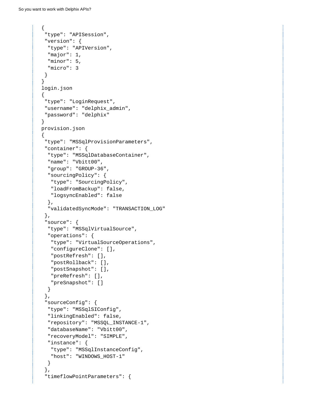```
{
  "type": "APISession",
  "version": {
  "type": "APIVersion",
  "major": 1,
  "minor": 5,
   "micro": 3
 }
} 
login.json
{
  "type": "LoginRequest",
 "username": "delphix_admin",
 "password": "delphix"
} 
provision.json
{
  "type": "MSSqlProvisionParameters",
  "container": {
   "type": "MSSqlDatabaseContainer",
  "name": "Vbitt00",
   "group": "GROUP-36",
   "sourcingPolicy": {
    "type": "SourcingPolicy",
   "loadFromBackup": false,
   "logsyncEnabled": false
   },
   "validatedSyncMode": "TRANSACTION_LOG"
  },
  "source": {
   "type": "MSSqlVirtualSource",
   "operations": {
    "type": "VirtualSourceOperations",
    "configureClone": [],
    "postRefresh": [],
    "postRollback": [],
    "postSnapshot": [],
    "preRefresh": [],
    "preSnapshot": []
   }
  },
  "sourceConfig": {
   "type": "MSSqlSIConfig",
   "linkingEnabled": false,
   "repository": "MSSQL_INSTANCE-1",
   "databaseName": "Vbitt00",
   "recoveryModel": "SIMPLE",
   "instance": {
   "type": "MSSqlInstanceConfig",
    "host": "WINDOWS_HOST-1"
   }
  },
  "timeflowPointParameters": {
```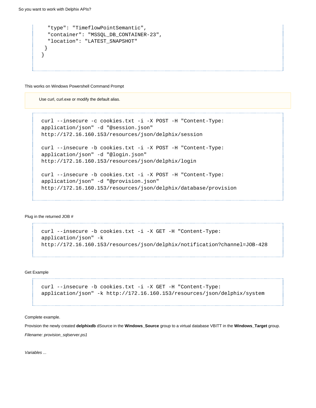```
 "type": "TimeflowPointSemantic",
   "container": "MSSQL_DB_CONTAINER-23",
   "location": "LATEST_SNAPSHOT"
 }
}
```
This works on Windows Powershell Command Prompt

Use curl, curl.exe or modify the default alias.

```
curl --insecure -c cookies.txt -i -X POST -H "Content-Type:
application/json" -d "@session.json"
http://172.16.160.153/resources/json/delphix/session
curl --insecure -b cookies.txt -i -X POST -H "Content-Type:
application/json" -d "@login.json"
http://172.16.160.153/resources/json/delphix/login
curl --insecure -b cookies.txt -i -X POST -H "Content-Type:
application/json" -d "@provision.json"
http://172.16.160.153/resources/json/delphix/database/provision
```
#### Plug in the returned JOB #

```
curl --insecure -b cookies.txt -i -X GET -H "Content-Type:
application/json" -k
http://172.16.160.153/resources/json/delphix/notification?channel=JOB-428
```
Get Example

curl --insecure -b cookies.txt -i -X GET -H "Content-Type: application/json" -k http://172.16.160.153/resources/json/delphix/system

Complete example.

Provision the newly created **delphixdb** dSource in the **Windows\_Source** group to a virtual database VBITT in the **Windows\_Target** group. Filename: provision\_sqlserver.ps1

Variables ...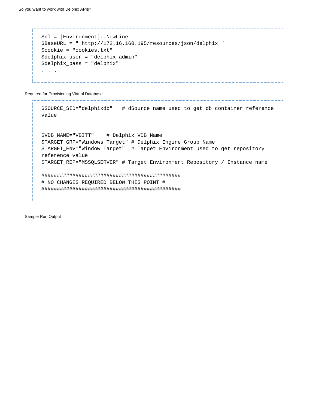```
$nl = [Environment]::NewLine
$BaseURL = " http://172.16.160.195/resources/json/delphix "
$cookie = "cookies.txt"
$delphix_user = "delphix_admin"
$delphix_pass = "delphix"
. . .
```
Required for Provisioning Virtual Database ...

```
$SOURCE_SID="delphixdb" # dSource name used to get db container reference
value 
$VDB_NAME="VBITT" # Delphix VDB Name
$TARGET_GRP="Windows_Target" # Delphix Engine Group Name
$TARGET_ENV="Window Target" # Target Environment used to get repository
reference value 
$TARGET_REP="MSSQLSERVER" # Target Environment Repository / Instance name 
#############################################
# NO CHANGES REQUIRED BELOW THIS POINT #
#############################################
```
Sample Run Output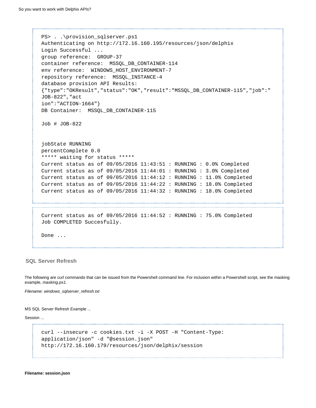```
PS> . . \provision_sqlserver.ps1
Authenticating on http://172.16.160.195/resources/json/delphix
Login Successful ...
group reference: GROUP-37 
container reference: MSSQL_DB_CONTAINER-114 
env reference: WINDOWS_HOST_ENVIRONMENT-7 
repository reference: MSSQL_INSTANCE-4 
database provision API Results:
{"type":"OKResult","status":"OK","result":"MSSQL_DB_CONTAINER-115","job":"
JOB-822","act
ion":"ACTION-1664"}
DB Container: MSSQL_DB_CONTAINER-115 
Job # JOB-822 
jobState RUNNING
percentComplete 0.0
***** waiting for status *****
Current status as of 09/05/2016 11:43:51 : RUNNING : 0.0% Completed
Current status as of 09/05/2016 11:44:01 : RUNNING : 3.0% Completed
Current status as of 09/05/2016 11:44:12 : RUNNING : 11.0% Completed
Current status as of 09/05/2016 11:44:22 : RUNNING : 18.0% Completed
Current status as of 09/05/2016 11:44:32 : RUNNING : 18.0% Completed
Current status as of 09/05/2016 11:44:52 : RUNNING : 75.0% Completed
Job COMPLETED Succesfully. 
Done ...
```
### **SQL Server Refresh**

The following are curl commands that can be issued from the Powershell command line. For inclusion within a Powershell script, see the masking example, masking.ps1.

Filename: windows\_sqlserver\_refresh.txt

MS SQL Server Refresh Example ...

Session ...

```
curl --insecure -c cookies.txt -i -X POST -H "Content-Type:
application/json" -d "@session.json"
http://172.16.160.179/resources/json/delphix/session
```
**Filename: session.json**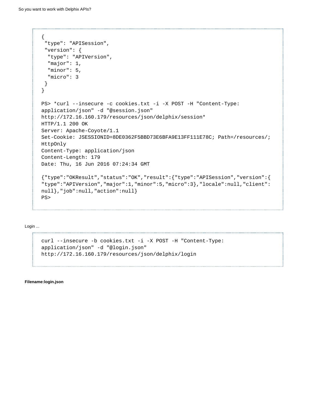```
{
  "type": "APISession",
  "version": {
  "type": "APIVersion",
  "major": 1,
   "minor": 5,
   "micro": 3
  }
} 
PS> *curl --insecure -c cookies.txt -i -X POST -H "Content-Type:
application/json" -d "@session.json"
http://172.16.160.179/resources/json/delphix/session*
HTTP/1.1 200 OK
Server: Apache-Coyote/1.1
Set-Cookie: JSESSIONID=8DE0362F5BBD73E6BFA9E13FF111E78C; Path=/resources/;
HttpOnly
Content-Type: application/json
Content-Length: 179
Date: Thu, 16 Jun 2016 07:24:34 GMT
{"type":"OKResult","status":"OK","result":{"type":"APISession","version":{
"type":"APIVersion","major":1,"minor":5,"micro":3},"locale":null,"client":
null},"job":null,"action":null} 
PS>
```
### Login ...

```
curl --insecure -b cookies.txt -i -X POST -H "Content-Type:
application/json" -d "@login.json"
http://172.16.160.179/resources/json/delphix/login
```
**Filename:login.json**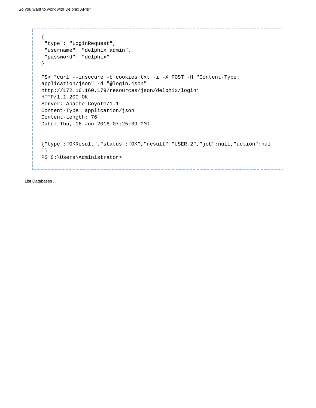```
{
  "type": "LoginRequest",
 "username": "delphix_admin",
  "password": "delphix"
} 
PS> *curl --insecure -b cookies.txt -i -X POST -H "Content-Type:
application/json" -d "@login.json"
http://172.16.160.179/resources/json/delphix/login*
HTTP/1.1 200 OK
Server: Apache-Coyote/1.1
Content-Type: application/json
Content-Length: 76
Date: Thu, 16 Jun 2016 07:25:39 GMT 
{"type":"OKResult","status":"OK","result":"USER-2","job":null,"action":nul
l}
PS C:\Users\Administrator>
```
List Databases ...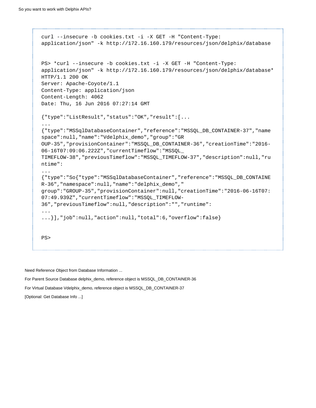```
curl --insecure -b cookies.txt -i -X GET -H "Content-Type:
application/json" -k http://172.16.160.179/resources/json/delphix/database
PS> *curl --insecure -b cookies.txt -i -X GET -H "Content-Type:
application/json" -k http://172.16.160.179/resources/json/delphix/database*
HTTP/1.1 200 OK
Server: Apache-Coyote/1.1
Content-Type: application/json
Content-Length: 4062
Date: Thu, 16 Jun 2016 07:27:14 GMT
{"type":"ListResult","status":"OK","result":[...
...
{"type":"MSSqlDatabaseContainer","reference":"MSSQL_DB_CONTAINER-37","name
space":null,"name":"Vdelphix_demo","group":"GR
OUP-35","provisionContainer":"MSSQL_DB_CONTAINER-36","creationTime":"2016-
06-16T07:09:06.222Z","currentTimeflow":"MSSQL_
TIMEFLOW-38","previousTimeflow":"MSSQL_TIMEFLOW-37","description":null,"ru
ntime":
...
{"type":"So{"type":"MSSqlDatabaseContainer","reference":"MSSQL_DB_CONTAINE
R-36","namespace":null,"name":"delphix_demo","
group":"GROUP-35","provisionContainer":null,"creationTime":"2016-06-16T07:
07:49.939Z","currentTimeflow":"MSSQL_TIMEFLOW-
36","previousTimeflow":null,"description":"","runtime":
...
...}],"job":null,"action":null,"total":6,"overflow":false} 
PS>
```
Need Reference Object from Database Information ... For Parent Source Database delphix\_demo, reference object is MSSQL\_DB\_CONTAINER-36 For Virtual Database Vdelphix\_demo, reference object is MSSQL\_DB\_CONTAINER-37 [Optional: Get Database Info ...]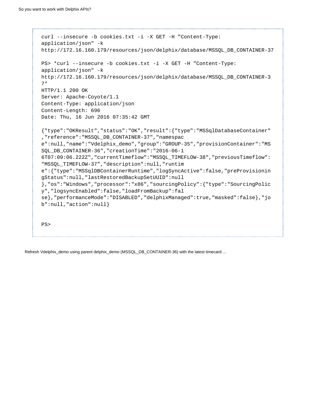```
curl --insecure -b cookies.txt -i -X GET -H "Content-Type:
application/json" -k
http://172.16.160.179/resources/json/delphix/database/MSSQL_DB_CONTAINER-37
PS> *curl --insecure -b cookies.txt -i -X GET -H "Content-Type:
application/json" -k
http://172.16.160.179/resources/json/delphix/database/MSSQL_DB_CONTAINER-3
7*
HTTP/1.1 200 OK
Server: Apache-Coyote/1.1
Content-Type: application/json
Content-Length: 696
Date: Thu, 16 Jun 2016 07:35:42 GMT
{"type":"OKResult","status":"OK","result":{"type":"MSSqlDatabaseContainer"
,"reference":"MSSQL_DB_CONTAINER-37","namespac
e":null,"name":"Vdelphix_demo","group":"GROUP-35","provisionContainer":"MS
SQL_DB_CONTAINER-36","creationTime":"2016-06-1
6T07:09:06.222Z","currentTimeflow":"MSSQL_TIMEFLOW-38","previousTimeflow":
"MSSQL_TIMEFLOW-37","description":null,"runtim
e":{"type":"MSSqlDBContainerRuntime","logSyncActive":false,"preProvisionin
gStatus":null,"lastRestoredBackupSetUUID":null
},"os":"Windows","processor":"x86","sourcingPolicy":{"type":"SourcingPolic
y","logsyncEnabled":false,"loadFromBackup":fal
se},"performanceMode":"DISABLED","delphixManaged":true,"masked":false},"jo
b":null,"action":null} 
PS>
```
Refresh Vdelphix\_demo using parent delphix\_demo (MSSQL\_DB\_CONTAINER-36) with the latest timecard ...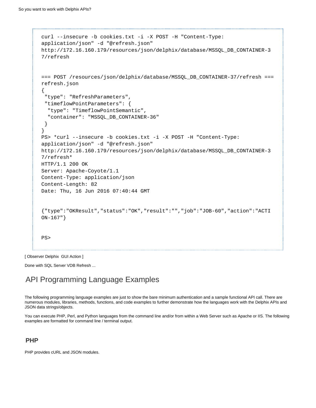```
curl --insecure -b cookies.txt -i -X POST -H "Content-Type:
application/json" -d "@refresh.json"
http://172.16.160.179/resources/json/delphix/database/MSSQL_DB_CONTAINER-3
7/refresh
=== POST /resources/json/delphix/database/MSSQL_DB_CONTAINER-37/refresh ===
refresh.json
{
  "type": "RefreshParameters",
  "timeflowPointParameters": {
   "type": "TimeflowPointSemantic",
   "container": "MSSQL_DB_CONTAINER-36"
  }
} 
PS> *curl --insecure -b cookies.txt -i -X POST -H "Content-Type:
application/json" -d "@refresh.json"
http://172.16.160.179/resources/json/delphix/database/MSSQL_DB_CONTAINER-3
7/refresh*
HTTP/1.1 200 OK
Server: Apache-Coyote/1.1
Content-Type: application/json
Content-Length: 82
Date: Thu, 16 Jun 2016 07:40:44 GMT 
{"type":"OKResult","status":"OK","result":"","job":"JOB-60","action":"ACTI
ON-167"} 
PS>
```
[ Observer Delphix GUI Action ]

Done with SQL Server VDB Refresh ...

# API Programming Language Examples

The following programming language examples are just to show the bare minimum authentication and a sample functional API call. There are numerous modules, libraries, methods, functions, and code examples to further demonstrate how the languages work with the Delphix APIs and JSON data strings/objects.

You can execute PHP, Perl, and Python languages from the command line and/or from within a Web Server such as Apache or IIS. The following examples are formatted for command line / terminal output.

# **PHP**

PHP provides cURL and JSON modules.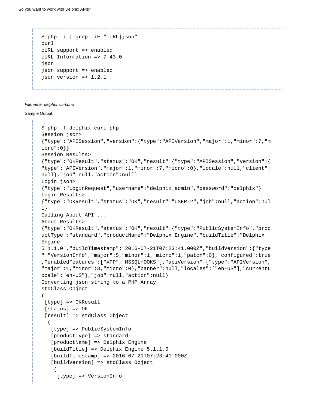```
$ php -i | grep -iE "cURL|json"
curl
cURL support => enabled
cURL Information => 7.43.0
json
json support => enabled
json version => 1.2.1
```
#### Filename: delphix\_curl.php

### Sample Output:

```
$ php -f delphix_curl.php
Session json>
{"type":"APISession","version":{"type":"APIVersion","major":1,"minor":7,"m
icro":0}} 
Session Results>
{"type":"OKResult","status":"OK","result":{"type":"APISession","version":{
"type":"APIVersion","major":1,"minor":7,"micro":0},"locale":null,"client":
null},"job":null,"action":null} 
Login json>
{"type":"LoginRequest","username":"delphix_admin","password":"delphix"} 
Login Results>
{"type":"OKResult","status":"OK","result":"USER-2","job":null,"action":nul
l} 
Calling About API ...
About Results>
{"type":"OKResult","status":"OK","result":{"type":"PublicSystemInfo","prod
uctType":"standard","productName":"Delphix Engine","buildTitle":"Delphix
Engine
5.1.1.0","buildTimestamp":"2016-07-21T07:23:41.000Z","buildVersion":{"type
":"VersionInfo","major":5,"minor":1,"micro":1,"patch":0},"configured":true
,"enabledFeatures":["XPP","MSSQLHOOKS"],"apiVersion":{"type":"APIVersion",
"major":1,"minor":8,"micro":0},"banner":null,"locales":["en-US"],"currentL
ocale":"en-US"},"job":null,"action":null} 
Converting json string to a PHP Array 
stdClass Object
(
  [type] => OKResult
  [status] => OK
  [result] => stdClass Object
\overline{\phantom{a}} [type] => PublicSystemInfo
    [productType] => standard
    [productName] => Delphix Engine
    [buildTitle] => Delphix Engine 5.1.1.0
    [buildTimestamp] => 2016-07-21T07:23:41.000Z
    [buildVersion] => stdClass Object
     (
      [type] => VersionInfo
```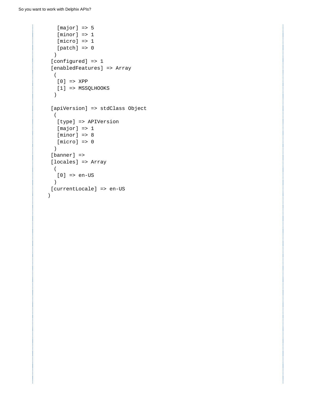```
[major] \Rightarrow 5[minor] \Rightarrow 1[micro] \Rightarrow 1[patch] \Rightarrow 0 )
  [configured] => 1
  [enabledFeatures] => Array
 \left( [0] => XPP
    [1] => MSSQLHOOKS
   ) 
  [apiVersion] => stdClass Object
 \left( [type] => APIVersion
   [major] => 1
   [minor] => 8
    [micro] => 0
  ) 
  [banner] => 
  [locales] => Array
 \left( [0] => en-US
  ) 
 [currentLocale] => en-US
 )
```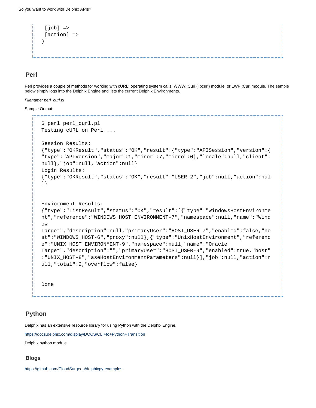```
[job] =>
 [action] => 
)
```
# **Perl**

Perl provides a couple of methods for working with cURL: operating system calls, WWW::Curl (libcurl) module, or LWP::Curl module. The sample below simply logs into the Delphix Engine and lists the current Delphix Environments.

### Filename: perl\_curl.pl

### Sample Output:

```
$ perl perl_curl.pl
Testing cURL on Perl ...
Session Results:
{"type":"OKResult","status":"OK","result":{"type":"APISession","version":{
"type":"APIVersion","major":1,"minor":7,"micro":0},"locale":null,"client":
null},"job":null,"action":null} 
Login Results:
{"type":"OKResult","status":"OK","result":"USER-2","job":null,"action":nul
l} 
Enviornment Results:
{"type":"ListResult","status":"OK","result":[{"type":"WindowsHostEnvironme
nt","reference":"WINDOWS_HOST_ENVIRONMENT-7","namespace":null,"name":"Wind
ow
Target","description":null,"primaryUser":"HOST_USER-7","enabled":false,"ho
st":"WINDOWS_HOST-6","proxy":null},{"type":"UnixHostEnvironment","referenc
e":"UNIX_HOST_ENVIRONMENT-9","namespace":null,"name":"Oracle
Target","description":"","primaryUser":"HOST_USER-9","enabled":true,"host"
:"UNIX_HOST-8","aseHostEnvironmentParameters":null}],"job":null,"action":n
ull,"total":2,"overflow":false} 
Done
```
# **Python**

Delphix has an extensive resource library for using Python with the Delphix Engine.

<https://docs.delphix.com/display/DOCS/CLI+to+Python+Transition>

Delphix python module

# **Blogs**

<https://github.com/CloudSurgeon/delphixpy-examples>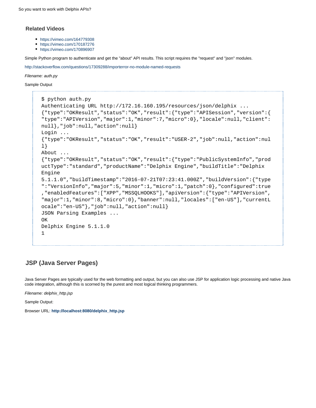## **Related Videos**

- <https://vimeo.com/164779308>
- <https://vimeo.com/170187276>
- <https://vimeo.com/170896907>

Simple Python program to authenticate and get the "about" API results. This script requires the "request" and "json" modules.

<http://stackoverflow.com/questions/17309288/importerror-no-module-named-requests>

Filename: auth.py

Sample Output

```
$ python auth.py
Authenticating URL http://172.16.160.195/resources/json/delphix ... 
{"type":"OKResult","status":"OK","result":{"type":"APISession","version":{
"type":"APIVersion","major":1,"minor":7,"micro":0},"locale":null,"client":
null},"job":null,"action":null}
Login ... 
{"type":"OKResult","status":"OK","result":"USER-2","job":null,"action":nul
l}
About ... 
{"type":"OKResult","status":"OK","result":{"type":"PublicSystemInfo","prod
uctType":"standard","productName":"Delphix Engine","buildTitle":"Delphix
Engine
5.1.1.0","buildTimestamp":"2016-07-21T07:23:41.000Z","buildVersion":{"type
":"VersionInfo","major":5,"minor":1,"micro":1,"patch":0},"configured":true
,"enabledFeatures":["XPP","MSSQLHOOKS"],"apiVersion":{"type":"APIVersion",
"major":1,"minor":8,"micro":0},"banner":null,"locales":["en-US"],"currentL
ocale":"en-US"},"job":null,"action":null}
JSON Parsing Examples ...
OK
Delphix Engine 5.1.1.0
1
```
# **JSP (Java Server Pages)**

Java Server Pages are typically used for the web formatting and output, but you can also use JSP for application logic processing and native Java code integration, although this is scorned by the purest and most logical thinking programmers.

Filename: delphix\_http.jsp

Sample Output:

Browser URL: **[http://localhost:8080/delphix\\_http.jsp](http://localhost:8080/delphix_http.jsp)**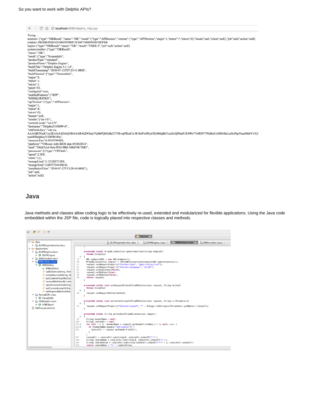```
\leftarrow \rightarrow C' \Delta O localhost:8080/delphix_http.jsp
```

```
Trying ...
~v.vig.<br>session> {"type":"OKResult","status":"OK","result":{"type":"APISession","version":{"type":"APIVersion","major":1,"minor":7,"micro":0},"locale":null,"client":null},"job":null,"action":null}<br>cookie> JSESSIONID=D16845
login> {"type":"OKResult","status":"OK","result":"USER-2","job":null,"action":null} system results> {"type":"OKResult",
system results> {"type":"OKResult",<br>"status":"OK",<br>"result":{"type":"SystemInfo",<br>"result":{"type":"standard",<br>"productType":"Standard",<br>"pulidTitle":"Delphix Engine 5.1.1.0",<br>"buildTimestamp":"2016-07-21T07:23:41.000Z",<br>"
"major":5,<br>"minor":1,
"micro":1,
"patch":0},
 configured":true,
"enabledFeatures":["XPP",
 "MSSQLHOOKS"],
"apiVersion":{"type":"APIVersion",
 "major":1,
"minor":8,
"micro":0}.
 banner":null,
"locales":["en-US"],<br>"currentLocale":"en-US"
"hostname":"Delphix5110HWv8",
"sshPublicKev":"ssh-rsa
AAAAB3NzaC1yc2EAAAADAQABAAABAQDOsrp7Aj6hFQh9yBq7273B+qtPKmCu1B18nPvr08yjt/IZeM4qKk7caxExQS9rpfU8AWoT7e8ESV7NkBmUzOHrHnLsuJtxPqeYoqeMubVxYjJ
root@Delphix5110HWv8\n"
 "memorySize":8.58107904E9
"platform":"VMware with BIOS date 05/20/2014",<br>"uuid":"564d7e1d-f4cb-f910-98fd-348d74817683",
"processors":[{"type":"CPUInfo",<br>"speed":2.5E9,
"cores":1}],<br>"cores":1}],<br>"storageUsed":3.121203712E9,
 storageTotal":2.0673724416E10,
"installationTime":"2016-07-27T13:28:46.000Z"},
 "iob":null,
"action":null}
```
# **Java**

Java methods and classes allow coding logic to be effectively re-used, extended and modularized for flexible applications. Using the Java code embedded within the JSP file, code is logically placed into respective classes and methods.

 $\mathfrak{S} \mathop{\mathrm{I}}\nolimits \mathfrak{B} \mathop{\mathrm{I}}\nolimits \mathop{\mathrm{I}}\nolimits \mathop{\mathrm{I}}\nolimits \mathop{\mathrm{I}}\nolimits \mathop{\mathrm{I}}\nolimits \mathop{\mathrm{I}}\nolimits \mathop{\mathrm{I}}\nolimits$ 

```
\Box classes \mathbb{R}\frac{P_{00}}{400} DLPXEngineServlet.class \boxtimes \blacksquare \frac{P_{00}}{400} DLPXEngine.class \boxtimes \blacksquare \frac{P_{00}}{400} DWSInvoker.class \boxtimes→ dlpx<br>
► <mark>→</mark> DLPXEngineServlet.class
v e
        dwsinvoker<br>
DLPXEngine.class
 \overline{r} e
                                                                                         protected static HttpURLConnection openConnection(String endpoint)<br>throws Exception
        \begin{array}{ll}\n\bullet & \bullet & \bullet & \bullet & \bullet \\
\bullet & \bullet & \bullet & \bullet & \bullet \\
\bullet & \bullet & \bullet & \bullet & \bullet \\
\bullet & \bullet & \bullet & \bullet & \bullet \\
\bullet & \bullet & \bullet & \bullet & \bullet \\
\bullet & \bullet & \bullet & \bullet & \bullet\n\end{array}\overline{f}URL endpointURL = new URL(endpoint);<br>HttpURLConnection request = (HttpURLConnection)endpointURL.openConnection();<br>request.setRequestProperty("Content-Type", "application/json");<br>request.setRequestProperty("Content-Tanguage
                                                                             79 80<br>81<br>81<br>82
                     · DWSUtility()
                                                                             83<br>84<br>85<br>86
                      \frac{1}{2} callDelphix(String, String)<br>
\frac{1}{2} createSession(String, St
                          getCookie(HttpURLCon
                                                                                         \mathbf{r}invokeWS(HttpURLConr
                          openConnection(String
                                                                                         protected static void setRequestMethod(HttpURLConnection request, String method)
                      \frac{1}{2} setContentLength(Http
                                                                                        \overline{\mathcal{L}}setRequestMethod(Http
                                                                             90request.setRequestMethod(method);
    ParseJSON.class<br>
\blacktriangleright G ParseJSON
                                                                                         protected static void setContentLength(HttpURLConnection request, String urlParameters)<br>{
    ▼ <mark>100</mark> VDBObject.class<br>
▶ ④ VDBObject
                                                                             94
                                                                                              request.setRequestProperty("Content-Length", "" + Integer.toString(urlParameters.getBytes().length));
    MyProp.properties
                                                                                         \mathbf{r}protected static String getCookie(HttpURLConnection request)
                                                                                  \Theta\frac{99}{100}<br>1010
                                                                                              String headerName = null;<br>String cookeStr = null;<br>for (int i = 1; (headerName = request.getHeaderFieldKey(i)) != null; i++) {<br>if (headerName.equals("Set-Cookie")) {
                                                                             1028<br>103
                                                                                                      f (headerName.equals("<mark>Set-Cookie</mark>")) {<br>cookieStr = request.getHeaderField(i);
                                                                                                  \})<br>cookieStr = cookieStr.substring(0, cookieStr.index0f(";"));<br>String cookieName = cookieStr.substring(0, cookieStr.index0f("="));<br>String cookieValue = cookieStr.substring(cookieStr.index0f("=") + 1, cookieStr.length());<br>re
```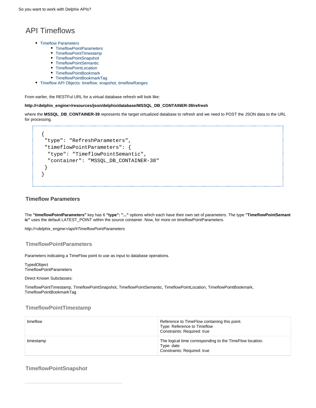# API Timeflows

- [Timeflow Parameters](#page-83-0)
	- [TimeflowPointParameters](#page-83-1)
	- [TimeflowPointTimestamp](#page-83-2)
	- [TimeflowPointSnapshot](#page-83-3)
	- [TimeflowPointSemantic](#page-84-0)
	- [TimeflowPointLocation](#page-84-1)
	- [TimeflowPointBookmark](#page-84-2)
	- [TimeflowPointBookmarkTag](#page-84-3)
- [Timeflow API Objects: timeflow, snapshot, timeflowRanges](#page-84-4)

From earlier, the RESTFul URL for a virtual database refresh will look like:

### **http://<delphix\_engine>/resources/json/delphix/database/MSSQL\_DB\_CONTAINER-39/refresh**

where the **MSSQL\_DB\_CONTAINER-39** represents the target virtualized database to refresh and we need to POST the JSON data to the URL for processing.

```
{
 "type": "RefreshParameters",
 "timeflowPointParameters": {
   "type": "TimeflowPointSemantic",
   "container": "MSSQL_DB_CONTAINER-38"
 }
}
```
### <span id="page-83-0"></span>**Timeflow Parameters**

The **"timeflowPointParameters"** key has 6 **"type": "..."** options which each have their own set of parameters. The type **"TimeflowPointSemant ic"** uses the default LATEST\_POINT within the source container. Now, for more on timeflowPointParameters.

http://<delphix\_engine>/api/#TimeflowPointParameters

### <span id="page-83-1"></span>**TimeflowPointParameters**

Parameters indicating a TimeFlow point to use as input to database operations.

TypedObject TimeflowPointParameters

#### Direct Known Subclasses:

TimeflowPointTimestamp, TimeflowPointSnapshot, TimeflowPointSemantic, TimeflowPointLocation, TimeflowPointBookmark, TimeflowPointBookmarkTag

## <span id="page-83-2"></span>**TimeflowPointTimestamp**

| timeflow  | Reference to TimeFlow containing this point.<br>Type: Reference to Timeflow<br>Constraints: Required: true |
|-----------|------------------------------------------------------------------------------------------------------------|
| timestamp | The logical time corresponding to the TimeFlow location.<br>Type: date<br>Constraints: Required: true      |

## <span id="page-83-3"></span>**TimeflowPointSnapshot**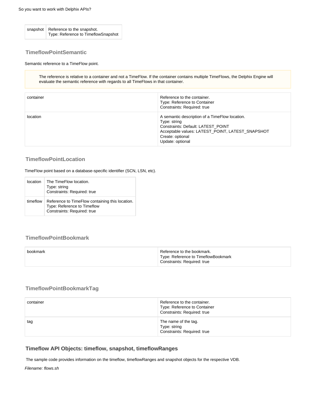snapshot Reference to the snapshot. Type: Reference to TimeflowSnapshot

## <span id="page-84-0"></span>**TimeflowPointSemantic**

### Semantic reference to a TimeFlow point.

The reference is relative to a container and not a TimeFlow. If the container contains multiple TimeFlows, the Delphix Engine will evaluate the semantic reference with regards to all TimeFlows in that container.

| container | Reference to the container.<br>Type: Reference to Container<br>Constraints: Required: true                                                                                                       |
|-----------|--------------------------------------------------------------------------------------------------------------------------------------------------------------------------------------------------|
| location  | A semantic description of a TimeFlow location.<br>Type: string<br>Constraints: Default: LATEST POINT<br>Acceptable values: LATEST_POINT, LATEST_SNAPSHOT<br>Create: optional<br>Update: optional |

### <span id="page-84-1"></span>**TimeflowPointLocation**

TimeFlow point based on a database-specific identifier (SCN, LSN, etc).

| <b>Incation</b> | The TimeFlow location.<br>Type: string<br>Constraints: Required: true                                         |
|-----------------|---------------------------------------------------------------------------------------------------------------|
| timeflow        | Reference to TimeFlow containing this location.<br>Type: Reference to Timeflow<br>Constraints: Required: true |

# <span id="page-84-2"></span>**TimeflowPointBookmark**

| bookmark | Reference to the bookmark.<br>Type: Reference to TimeflowBookmark |
|----------|-------------------------------------------------------------------|
|          | Constraints: Required: true                                       |

## <span id="page-84-3"></span>**TimeflowPointBookmarkTag**

| container | Reference to the container.<br>Type: Reference to Container<br>Constraints: Required: true |
|-----------|--------------------------------------------------------------------------------------------|
| tag       | The name of the tag.<br>Type: string<br>Constraints: Required: true                        |

# <span id="page-84-4"></span>**Timeflow API Objects: timeflow, snapshot, timeflowRanges**

The sample code provides information on the timeflow, timeflowRanges and snapshot objects for the respective VDB.

Filename: flows.sh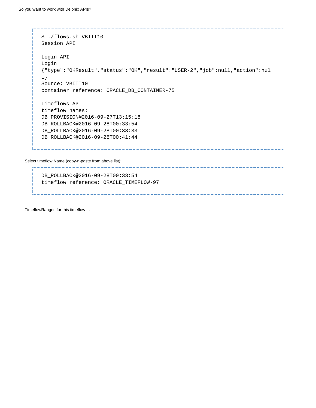```
$ ./flows.sh VBITT10
Session API 
Login API 
Login
{"type":"OKResult","status":"OK","result":"USER-2","job":null,"action":nul
l}
Source: VBITT10
container reference: ORACLE_DB_CONTAINER-75 
Timeflows API 
timeflow names:
DB_PROVISION@2016-09-27T13:15:18
DB_ROLLBACK@2016-09-28T00:33:54
DB_ROLLBACK@2016-09-28T00:38:33
DB_ROLLBACK@2016-09-28T00:41:44
```
Select timeflow Name (copy-n-paste from above list):

DB\_ROLLBACK@2016-09-28T00:33:54 timeflow reference: ORACLE\_TIMEFLOW-97

TimeflowRanges for this timeflow ...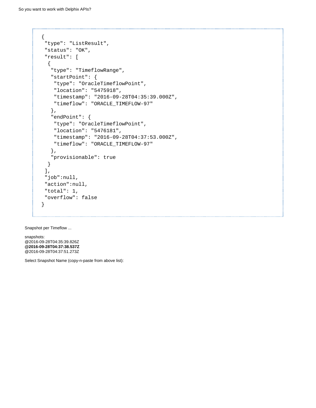```
{
 "type": "ListResult",
 "status": "OK",
  "result": [
  {
    "type": "TimeflowRange",
    "startPoint": {
     "type": "OracleTimeflowPoint",
     "location": "5475918",
     "timestamp": "2016-09-28T04:35:39.000Z",
     "timeflow": "ORACLE_TIMEFLOW-97"
    },
    "endPoint": {
     "type": "OracleTimeflowPoint",
     "location": "5476181",
     "timestamp": "2016-09-28T04:37:53.000Z",
     "timeflow": "ORACLE_TIMEFLOW-97"
    },
    "provisionable": true
  }
 ],
 "job":null,
 "action":null,
 "total": 1,
  "overflow": false
}
```
Snapshot per Timeflow ...

snapshots: @2016-09-28T04:35:39.826Z **@2016-09-28T04:37:38.537Z** @2016-09-28T04:37:51.273Z

Select Snapshot Name (copy-n-paste from above list):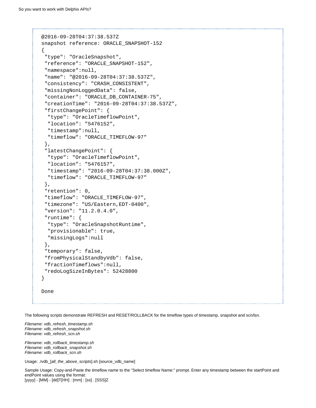```
@2016-09-28T04:37:38.537Z
snapshot reference: ORACLE_SNAPSHOT-152
{
  "type": "OracleSnapshot",
  "reference": "ORACLE_SNAPSHOT-152",
  "namespace":null,
  "name": "@2016-09-28T04:37:38.537Z",
  "consistency": "CRASH_CONSISTENT",
  "missingNonLoggedData": false,
  "container": "ORACLE_DB_CONTAINER-75",
  "creationTime": "2016-09-28T04:37:38.537Z",
  "firstChangePoint": {
   "type": "OracleTimeflowPoint",
   "location": "5476152",
   "timestamp":null,
   "timeflow": "ORACLE_TIMEFLOW-97"
  },
  "latestChangePoint": {
   "type": "OracleTimeflowPoint",
   "location": "5476157",
   "timestamp": "2016-09-28T04:37:38.000Z",
   "timeflow": "ORACLE_TIMEFLOW-97"
  },
  "retention": 0,
  "timeflow": "ORACLE_TIMEFLOW-97",
  "timezone": "US/Eastern,EDT-0400",
  "version": "11.2.0.4.0",
  "runtime": {
   "type": "OracleSnapshotRuntime",
   "provisionable": true,
   "missingLogs":null
  },
  "temporary": false,
  "fromPhysicalStandbyVdb": false,
  "fractionTimeflows":null,
  "redoLogSizeInBytes": 52428800
}
Done
```
The following scripts demonstrate REFRESH and RESET/ROLLBACK for the timeflow types of timestamp, snapshot and scn/lsn.

Filename: vdb\_refresh\_timestamp.sh Filename: vdb\_refresh\_snapshot.sh Filename: vdb\_refresh\_scn.sh

Filename: vdb\_rollback\_timestamp.sh Filename: vdb\_rollback\_snapshot.sh Filename: vdb\_rollback\_scn.sh

Usage: ./vdb\_[all\_the\_above\_scripts].sh [source\_vdb\_name]

Sample Usage: Copy-and-Paste the timeflow name to the "Select timeflow Name:" prompt. Enter any timestamp between the startPoint and endPoint values using the format: [yyyy] - [MM] - [dd]T[HH] : [mm] : [ss] . [SSS]Z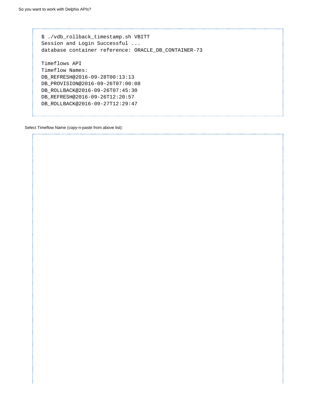\$ ./vdb\_rollback\_timestamp.sh VBITT Session and Login Successful ... database container reference: ORACLE\_DB\_CONTAINER-73 Timeflows API Timeflow Names: DB\_REFRESH@2016-09-28T00:13:13 DB\_PROVISION@2016-09-26T07:00:08 DB\_ROLLBACK@2016-09-26T07:45:30 DB\_REFRESH@2016-09-26T12:20:57 DB\_ROLLBACK@2016-09-27T12:29:47

Select Timeflow Name (copy-n-paste from above list):